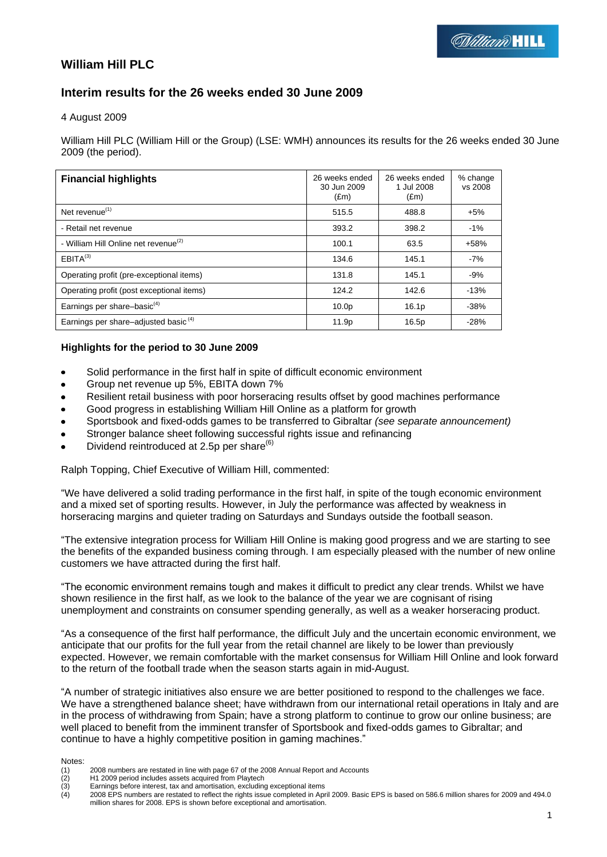# **William Hill PLC**

# **Interim results for the 26 weeks ended 30 June 2009**

4 August 2009

William Hill PLC (William Hill or the Group) (LSE: WMH) announces its results for the 26 weeks ended 30 June 2009 (the period).

| <b>Financial highlights</b>                      | 26 weeks ended<br>30 Jun 2009<br>E(m) | 26 weeks ended<br>1 Jul 2008<br>$(\text{Em})$ | % change<br>vs 2008 |
|--------------------------------------------------|---------------------------------------|-----------------------------------------------|---------------------|
| Net revenue $(1)$                                | 515.5                                 | 488.8                                         | $+5%$               |
| - Retail net revenue                             | 393.2                                 | 398.2                                         | $-1%$               |
| - William Hill Online net revenue <sup>(2)</sup> | 100.1                                 | 63.5                                          | $+58%$              |
| EBITA <sup>(3)</sup>                             | 134.6                                 | 145.1                                         | $-7%$               |
| Operating profit (pre-exceptional items)         | 131.8                                 | 145.1                                         | $-9%$               |
| Operating profit (post exceptional items)        | 124.2                                 | 142.6                                         | $-13%$              |
| Earnings per share-basic <sup>(4)</sup>          | 10.0 <sub>p</sub>                     | 16.1 <sub>p</sub>                             | $-38%$              |
| Earnings per share-adjusted basic <sup>(4)</sup> | 11.9p                                 | 16.5p                                         | $-28%$              |

# **Highlights for the period to 30 June 2009**

- Solid performance in the first half in spite of difficult economic environment
- Group net revenue up 5%, EBITA down 7%
- Resilient retail business with poor horseracing results offset by good machines performance
- Good progress in establishing William Hill Online as a platform for growth
- Sportsbook and fixed-odds games to be transferred to Gibraltar *(see separate announcement)*
- Stronger balance sheet following successful rights issue and refinancing
- Dividend reintroduced at 2.5p per share $(6)$

Ralph Topping, Chief Executive of William Hill, commented:

"We have delivered a solid trading performance in the first half, in spite of the tough economic environment and a mixed set of sporting results. However, in July the performance was affected by weakness in horseracing margins and quieter trading on Saturdays and Sundays outside the football season.

"The extensive integration process for William Hill Online is making good progress and we are starting to see the benefits of the expanded business coming through. I am especially pleased with the number of new online customers we have attracted during the first half.

"The economic environment remains tough and makes it difficult to predict any clear trends. Whilst we have shown resilience in the first half, as we look to the balance of the year we are cognisant of rising unemployment and constraints on consumer spending generally, as well as a weaker horseracing product.

"As a consequence of the first half performance, the difficult July and the uncertain economic environment, we anticipate that our profits for the full year from the retail channel are likely to be lower than previously expected. However, we remain comfortable with the market consensus for William Hill Online and look forward to the return of the football trade when the season starts again in mid-August.

"A number of strategic initiatives also ensure we are better positioned to respond to the challenges we face. We have a strengthened balance sheet; have withdrawn from our international retail operations in Italy and are in the process of withdrawing from Spain; have a strong platform to continue to grow our online business; are well placed to benefit from the imminent transfer of Sportsbook and fixed-odds games to Gibraltar; and continue to have a highly competitive position in gaming machines."

Notes:<br>(1)<br>(2)<br>(3)<br>(4) 2008 numbers are restated in line with page 67 of the 2008 Annual Report and Accounts

H1 2009 period includes assets acquired from Playtech

Earnings before interest, tax and amortisation, excluding exceptional items

<sup>(4)</sup> 2008 EPS numbers are restated to reflect the rights issue completed in April 2009. Basic EPS is based on 586.6 million shares for 2009 and 494.0 million shares for 2008. EPS is shown before exceptional and amortisation.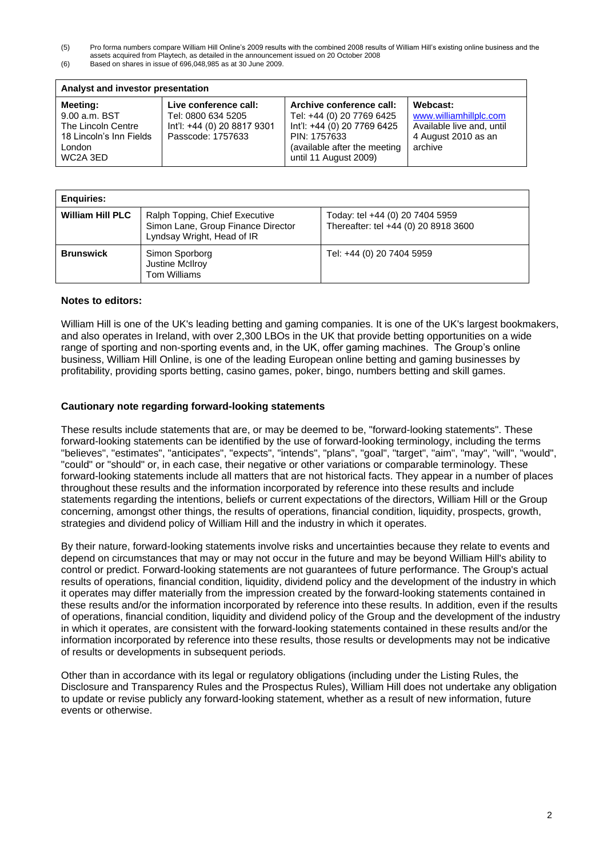(5) Pro forma numbers compare William Hill Online"s 2009 results with the combined 2008 results of William Hill"s existing online business and the assets acquired from Playtech, as detailed in the announcement issued on 20 October 2008

| (6) | Based on shares in issue of 696,048,985 as at 30 June 2009. |
|-----|-------------------------------------------------------------|

| Analyst and investor presentation                                                                |                                                                                                 |                                                                                                                                                               |                                                                                                   |  |  |  |  |
|--------------------------------------------------------------------------------------------------|-------------------------------------------------------------------------------------------------|---------------------------------------------------------------------------------------------------------------------------------------------------------------|---------------------------------------------------------------------------------------------------|--|--|--|--|
| Meeting:<br>9.00 a.m. BST<br>The Lincoln Centre<br>18 Lincoln's Inn Fields<br>London<br>WC2A 3ED | Live conference call:<br>Tel: 0800 634 5205<br>Int'l: +44 (0) 20 8817 9301<br>Passcode: 1757633 | Archive conference call:<br>Tel: +44 (0) 20 7769 6425<br>Int'l: +44 (0) 20 7769 6425<br>PIN: 1757633<br>(available after the meeting<br>until 11 August 2009) | Webcast:<br>www.williamhillplc.com<br>Available live and, until<br>4 August 2010 as an<br>archive |  |  |  |  |

| <b>Enguiries:</b>       |                                                                                                    |                                                                         |
|-------------------------|----------------------------------------------------------------------------------------------------|-------------------------------------------------------------------------|
| <b>William Hill PLC</b> | Ralph Topping, Chief Executive<br>Simon Lane, Group Finance Director<br>Lyndsay Wright, Head of IR | Today: tel +44 (0) 20 7404 5959<br>Thereafter: tel +44 (0) 20 8918 3600 |
| <b>Brunswick</b>        | Simon Sporborg<br>Justine McIlroy<br>Tom Williams                                                  | Tel: +44 (0) 20 7404 5959                                               |

#### **Notes to editors:**

William Hill is one of the UK's leading betting and gaming companies. It is one of the UK's largest bookmakers, and also operates in Ireland, with over 2,300 LBOs in the UK that provide betting opportunities on a wide range of sporting and non-sporting events and, in the UK, offer gaming machines. The Group's online business, William Hill Online, is one of the leading European online betting and gaming businesses by profitability, providing sports betting, casino games, poker, bingo, numbers betting and skill games.

#### **Cautionary note regarding forward-looking statements**

These results include statements that are, or may be deemed to be, "forward-looking statements". These forward-looking statements can be identified by the use of forward-looking terminology, including the terms "believes", "estimates", "anticipates", "expects", "intends", "plans", "goal", "target", "aim", "may", "will", "would", "could" or "should" or, in each case, their negative or other variations or comparable terminology. These forward-looking statements include all matters that are not historical facts. They appear in a number of places throughout these results and the information incorporated by reference into these results and include statements regarding the intentions, beliefs or current expectations of the directors, William Hill or the Group concerning, amongst other things, the results of operations, financial condition, liquidity, prospects, growth, strategies and dividend policy of William Hill and the industry in which it operates.

By their nature, forward-looking statements involve risks and uncertainties because they relate to events and depend on circumstances that may or may not occur in the future and may be beyond William Hill's ability to control or predict. Forward-looking statements are not guarantees of future performance. The Group's actual results of operations, financial condition, liquidity, dividend policy and the development of the industry in which it operates may differ materially from the impression created by the forward-looking statements contained in these results and/or the information incorporated by reference into these results. In addition, even if the results of operations, financial condition, liquidity and dividend policy of the Group and the development of the industry in which it operates, are consistent with the forward-looking statements contained in these results and/or the information incorporated by reference into these results, those results or developments may not be indicative of results or developments in subsequent periods.

Other than in accordance with its legal or regulatory obligations (including under the Listing Rules, the Disclosure and Transparency Rules and the Prospectus Rules), William Hill does not undertake any obligation to update or revise publicly any forward-looking statement, whether as a result of new information, future events or otherwise.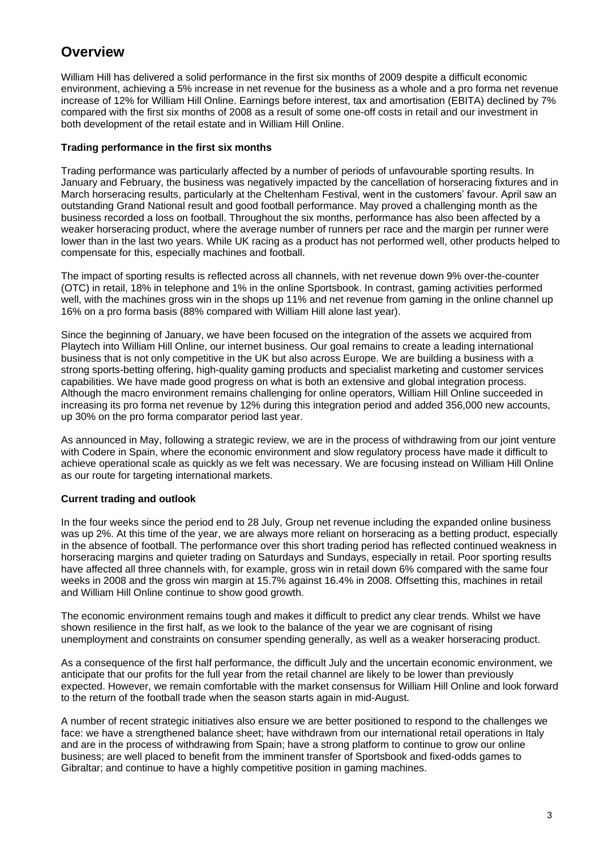# **Overview**

William Hill has delivered a solid performance in the first six months of 2009 despite a difficult economic environment, achieving a 5% increase in net revenue for the business as a whole and a pro forma net revenue increase of 12% for William Hill Online. Earnings before interest, tax and amortisation (EBITA) declined by 7% compared with the first six months of 2008 as a result of some one-off costs in retail and our investment in both development of the retail estate and in William Hill Online.

# **Trading performance in the first six months**

Trading performance was particularly affected by a number of periods of unfavourable sporting results. In January and February, the business was negatively impacted by the cancellation of horseracing fixtures and in March horseracing results, particularly at the Cheltenham Festival, went in the customers" favour. April saw an outstanding Grand National result and good football performance. May proved a challenging month as the business recorded a loss on football. Throughout the six months, performance has also been affected by a weaker horseracing product, where the average number of runners per race and the margin per runner were lower than in the last two years. While UK racing as a product has not performed well, other products helped to compensate for this, especially machines and football.

The impact of sporting results is reflected across all channels, with net revenue down 9% over-the-counter (OTC) in retail, 18% in telephone and 1% in the online Sportsbook. In contrast, gaming activities performed well, with the machines gross win in the shops up 11% and net revenue from gaming in the online channel up 16% on a pro forma basis (88% compared with William Hill alone last year).

Since the beginning of January, we have been focused on the integration of the assets we acquired from Playtech into William Hill Online, our internet business. Our goal remains to create a leading international business that is not only competitive in the UK but also across Europe. We are building a business with a strong sports-betting offering, high-quality gaming products and specialist marketing and customer services capabilities. We have made good progress on what is both an extensive and global integration process. Although the macro environment remains challenging for online operators, William Hill Online succeeded in increasing its pro forma net revenue by 12% during this integration period and added 356,000 new accounts, up 30% on the pro forma comparator period last year.

As announced in May, following a strategic review, we are in the process of withdrawing from our joint venture with Codere in Spain, where the economic environment and slow regulatory process have made it difficult to achieve operational scale as quickly as we felt was necessary. We are focusing instead on William Hill Online as our route for targeting international markets.

# **Current trading and outlook**

In the four weeks since the period end to 28 July, Group net revenue including the expanded online business was up 2%. At this time of the year, we are always more reliant on horseracing as a betting product, especially in the absence of football. The performance over this short trading period has reflected continued weakness in horseracing margins and quieter trading on Saturdays and Sundays, especially in retail. Poor sporting results have affected all three channels with, for example, gross win in retail down 6% compared with the same four weeks in 2008 and the gross win margin at 15.7% against 16.4% in 2008. Offsetting this, machines in retail and William Hill Online continue to show good growth.

The economic environment remains tough and makes it difficult to predict any clear trends. Whilst we have shown resilience in the first half, as we look to the balance of the year we are cognisant of rising unemployment and constraints on consumer spending generally, as well as a weaker horseracing product.

As a consequence of the first half performance, the difficult July and the uncertain economic environment, we anticipate that our profits for the full year from the retail channel are likely to be lower than previously expected. However, we remain comfortable with the market consensus for William Hill Online and look forward to the return of the football trade when the season starts again in mid-August.

A number of recent strategic initiatives also ensure we are better positioned to respond to the challenges we face: we have a strengthened balance sheet; have withdrawn from our international retail operations in Italy and are in the process of withdrawing from Spain; have a strong platform to continue to grow our online business; are well placed to benefit from the imminent transfer of Sportsbook and fixed-odds games to Gibraltar; and continue to have a highly competitive position in gaming machines.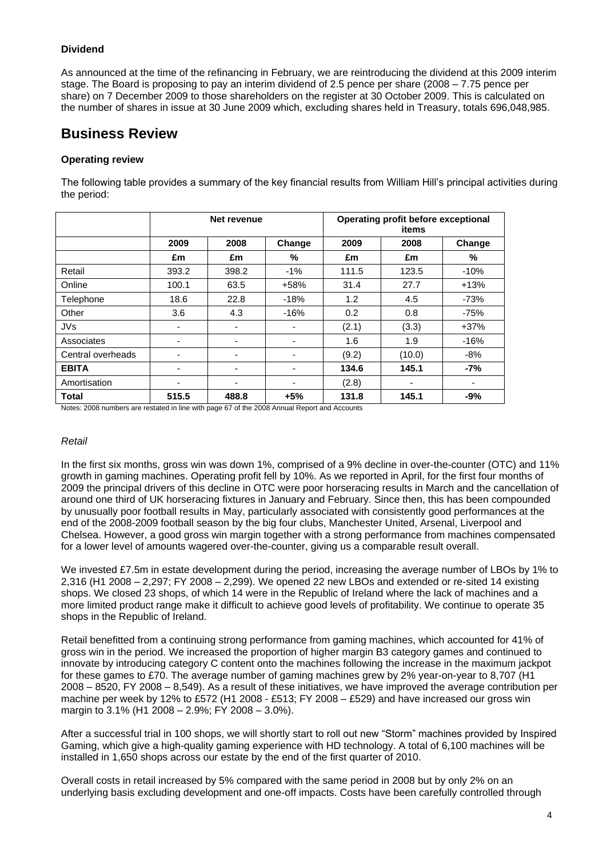# **Dividend**

As announced at the time of the refinancing in February, we are reintroducing the dividend at this 2009 interim stage. The Board is proposing to pay an interim dividend of 2.5 pence per share (2008 – 7.75 pence per share) on 7 December 2009 to those shareholders on the register at 30 October 2009. This is calculated on the number of shares in issue at 30 June 2009 which, excluding shares held in Treasury, totals 696,048,985.

# **Business Review**

# **Operating review**

The following table provides a summary of the key financial results from William Hill"s principal activities during the period:

|                   |       | Net revenue              |        |       | Operating profit before exceptional |        |
|-------------------|-------|--------------------------|--------|-------|-------------------------------------|--------|
|                   | 2009  | 2008                     | Change | 2009  | 2008                                | Change |
|                   | £m    | £m                       | $\%$   | £m    | £m                                  | %      |
| Retail            | 393.2 | 398.2                    | $-1%$  | 111.5 | 123.5                               | $-10%$ |
| Online            | 100.1 | 63.5                     | $+58%$ | 31.4  | 27.7                                | $+13%$ |
| Telephone         | 18.6  | 22.8                     | $-18%$ | 1.2   | 4.5                                 | $-73%$ |
| Other             | 3.6   | 4.3                      | $-16%$ | 0.2   | 0.8                                 | $-75%$ |
| <b>JVs</b>        | ٠     | $\overline{\phantom{0}}$ |        | (2.1) | (3.3)                               | $+37%$ |
| Associates        | -     | $\overline{\phantom{0}}$ |        | 1.6   | 1.9                                 | $-16%$ |
| Central overheads | -     | -                        |        | (9.2) | (10.0)                              | $-8%$  |
| <b>EBITA</b>      | ٠     | $\overline{\phantom{0}}$ |        | 134.6 | 145.1                               | $-7%$  |
| Amortisation      | ۰     | $\overline{\phantom{0}}$ |        | (2.8) | ٠                                   | ٠      |
| <b>Total</b>      | 515.5 | 488.8                    | $+5%$  | 131.8 | 145.1                               | $-9%$  |

Notes: 2008 numbers are restated in line with page 67 of the 2008 Annual Report and Accounts

#### *Retail*

In the first six months, gross win was down 1%, comprised of a 9% decline in over-the-counter (OTC) and 11% growth in gaming machines. Operating profit fell by 10%. As we reported in April, for the first four months of 2009 the principal drivers of this decline in OTC were poor horseracing results in March and the cancellation of around one third of UK horseracing fixtures in January and February. Since then, this has been compounded by unusually poor football results in May, particularly associated with consistently good performances at the end of the 2008-2009 football season by the big four clubs, Manchester United, Arsenal, Liverpool and Chelsea. However, a good gross win margin together with a strong performance from machines compensated for a lower level of amounts wagered over-the-counter, giving us a comparable result overall.

We invested £7.5m in estate development during the period, increasing the average number of LBOs by 1% to 2,316 (H1 2008 – 2,297; FY 2008 – 2,299). We opened 22 new LBOs and extended or re-sited 14 existing shops. We closed 23 shops, of which 14 were in the Republic of Ireland where the lack of machines and a more limited product range make it difficult to achieve good levels of profitability. We continue to operate 35 shops in the Republic of Ireland.

Retail benefitted from a continuing strong performance from gaming machines, which accounted for 41% of gross win in the period. We increased the proportion of higher margin B3 category games and continued to innovate by introducing category C content onto the machines following the increase in the maximum jackpot for these games to £70. The average number of gaming machines grew by 2% year-on-year to 8,707 (H1 2008 – 8520, FY 2008 – 8,549). As a result of these initiatives, we have improved the average contribution per machine per week by 12% to £572 (H1 2008 - £513; FY 2008 – £529) and have increased our gross win margin to 3.1% (H1 2008 – 2.9%; FY 2008 – 3.0%).

After a successful trial in 100 shops, we will shortly start to roll out new "Storm" machines provided by Inspired Gaming, which give a high-quality gaming experience with HD technology. A total of 6,100 machines will be installed in 1,650 shops across our estate by the end of the first quarter of 2010.

Overall costs in retail increased by 5% compared with the same period in 2008 but by only 2% on an underlying basis excluding development and one-off impacts. Costs have been carefully controlled through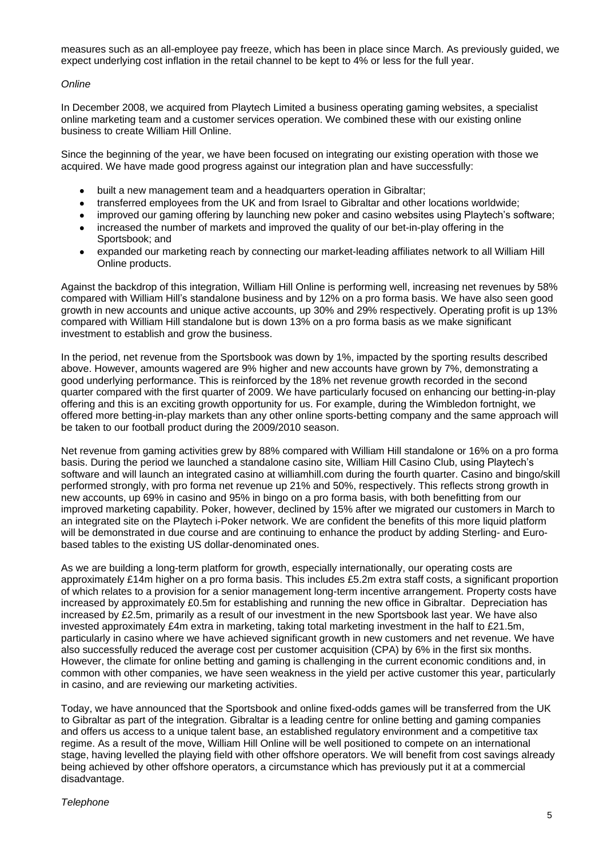measures such as an all-employee pay freeze, which has been in place since March. As previously guided, we expect underlying cost inflation in the retail channel to be kept to 4% or less for the full year.

#### *Online*

In December 2008, we acquired from Playtech Limited a business operating gaming websites, a specialist online marketing team and a customer services operation. We combined these with our existing online business to create William Hill Online.

Since the beginning of the year, we have been focused on integrating our existing operation with those we acquired. We have made good progress against our integration plan and have successfully:

- built a new management team and a headquarters operation in Gibraltar;  $\bullet$
- transferred employees from the UK and from Israel to Gibraltar and other locations worldwide;
- improved our gaming offering by launching new poker and casino websites using Playtech"s software;
- increased the number of markets and improved the quality of our bet-in-play offering in the Sportsbook; and
- expanded our marketing reach by connecting our market-leading affiliates network to all William Hill  $\bullet$ Online products.

Against the backdrop of this integration, William Hill Online is performing well, increasing net revenues by 58% compared with William Hill"s standalone business and by 12% on a pro forma basis. We have also seen good growth in new accounts and unique active accounts, up 30% and 29% respectively. Operating profit is up 13% compared with William Hill standalone but is down 13% on a pro forma basis as we make significant investment to establish and grow the business.

In the period, net revenue from the Sportsbook was down by 1%, impacted by the sporting results described above. However, amounts wagered are 9% higher and new accounts have grown by 7%, demonstrating a good underlying performance. This is reinforced by the 18% net revenue growth recorded in the second quarter compared with the first quarter of 2009. We have particularly focused on enhancing our betting-in-play offering and this is an exciting growth opportunity for us. For example, during the Wimbledon fortnight, we offered more betting-in-play markets than any other online sports-betting company and the same approach will be taken to our football product during the 2009/2010 season.

Net revenue from gaming activities grew by 88% compared with William Hill standalone or 16% on a pro forma basis. During the period we launched a standalone casino site, William Hill Casino Club, using Playtech"s software and will launch an integrated casino at williamhill.com during the fourth quarter. Casino and bingo/skill performed strongly, with pro forma net revenue up 21% and 50%, respectively. This reflects strong growth in new accounts, up 69% in casino and 95% in bingo on a pro forma basis, with both benefitting from our improved marketing capability. Poker, however, declined by 15% after we migrated our customers in March to an integrated site on the Playtech i-Poker network. We are confident the benefits of this more liquid platform will be demonstrated in due course and are continuing to enhance the product by adding Sterling- and Eurobased tables to the existing US dollar-denominated ones.

As we are building a long-term platform for growth, especially internationally, our operating costs are approximately £14m higher on a pro forma basis. This includes £5.2m extra staff costs, a significant proportion of which relates to a provision for a senior management long-term incentive arrangement. Property costs have increased by approximately £0.5m for establishing and running the new office in Gibraltar. Depreciation has increased by £2.5m, primarily as a result of our investment in the new Sportsbook last year. We have also invested approximately £4m extra in marketing, taking total marketing investment in the half to £21.5m, particularly in casino where we have achieved significant growth in new customers and net revenue. We have also successfully reduced the average cost per customer acquisition (CPA) by 6% in the first six months. However, the climate for online betting and gaming is challenging in the current economic conditions and, in common with other companies, we have seen weakness in the yield per active customer this year, particularly in casino, and are reviewing our marketing activities.

Today, we have announced that the Sportsbook and online fixed-odds games will be transferred from the UK to Gibraltar as part of the integration. Gibraltar is a leading centre for online betting and gaming companies and offers us access to a unique talent base, an established regulatory environment and a competitive tax regime. As a result of the move, William Hill Online will be well positioned to compete on an international stage, having levelled the playing field with other offshore operators. We will benefit from cost savings already being achieved by other offshore operators, a circumstance which has previously put it at a commercial disadvantage.

#### *Telephone*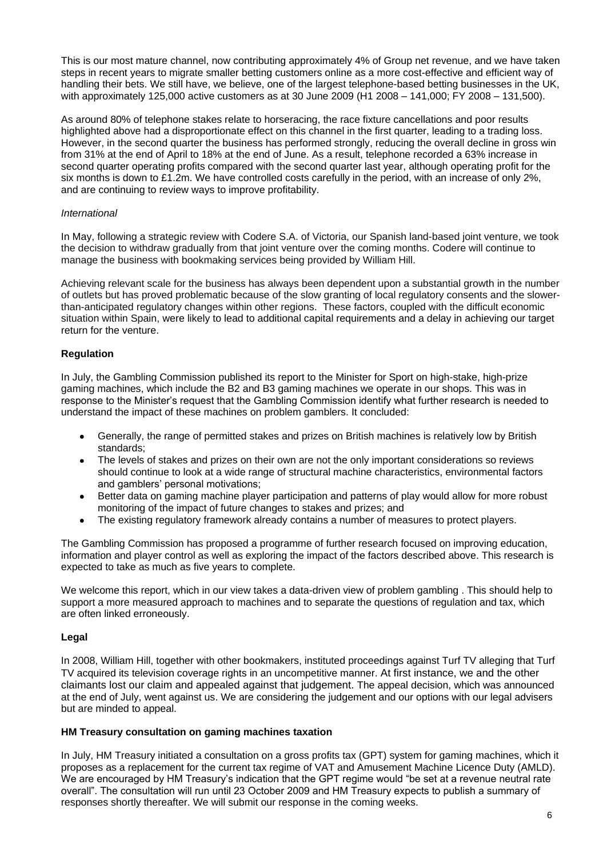This is our most mature channel, now contributing approximately 4% of Group net revenue, and we have taken steps in recent years to migrate smaller betting customers online as a more cost-effective and efficient way of handling their bets. We still have, we believe, one of the largest telephone-based betting businesses in the UK, with approximately 125,000 active customers as at 30 June 2009 (H1 2008 – 141,000; FY 2008 – 131,500).

As around 80% of telephone stakes relate to horseracing, the race fixture cancellations and poor results highlighted above had a disproportionate effect on this channel in the first quarter, leading to a trading loss. However, in the second quarter the business has performed strongly, reducing the overall decline in gross win from 31% at the end of April to 18% at the end of June. As a result, telephone recorded a 63% increase in second quarter operating profits compared with the second quarter last year, although operating profit for the six months is down to £1.2m. We have controlled costs carefully in the period, with an increase of only 2%, and are continuing to review ways to improve profitability.

# *International*

In May, following a strategic review with Codere S.A. of Victoria, our Spanish land-based joint venture, we took the decision to withdraw gradually from that joint venture over the coming months. Codere will continue to manage the business with bookmaking services being provided by William Hill.

Achieving relevant scale for the business has always been dependent upon a substantial growth in the number of outlets but has proved problematic because of the slow granting of local regulatory consents and the slowerthan-anticipated regulatory changes within other regions. These factors, coupled with the difficult economic situation within Spain, were likely to lead to additional capital requirements and a delay in achieving our target return for the venture.

# **Regulation**

In July, the Gambling Commission published its report to the Minister for Sport on high-stake, high-prize gaming machines, which include the B2 and B3 gaming machines we operate in our shops. This was in response to the Minister's request that the Gambling Commission identify what further research is needed to understand the impact of these machines on problem gamblers. It concluded:

- Generally, the range of permitted stakes and prizes on British machines is relatively low by British standards;
- The levels of stakes and prizes on their own are not the only important considerations so reviews should continue to look at a wide range of structural machine characteristics, environmental factors and gamblers' personal motivations;
- Better data on gaming machine player participation and patterns of play would allow for more robust monitoring of the impact of future changes to stakes and prizes; and
- The existing regulatory framework already contains a number of measures to protect players.

The Gambling Commission has proposed a programme of further research focused on improving education, information and player control as well as exploring the impact of the factors described above. This research is expected to take as much as five years to complete.

We welcome this report, which in our view takes a data-driven view of problem gambling . This should help to support a more measured approach to machines and to separate the questions of regulation and tax, which are often linked erroneously.

# **Legal**

In 2008, William Hill, together with other bookmakers, instituted proceedings against Turf TV alleging that Turf TV acquired its television coverage rights in an uncompetitive manner. At first instance, we and the other claimants lost our claim and appealed against that judgement. The appeal decision, which was announced at the end of July, went against us. We are considering the judgement and our options with our legal advisers but are minded to appeal.

# **HM Treasury consultation on gaming machines taxation**

In July, HM Treasury initiated a consultation on a gross profits tax (GPT) system for gaming machines, which it proposes as a replacement for the current tax regime of VAT and Amusement Machine Licence Duty (AMLD). We are encouraged by HM Treasury's indication that the GPT regime would "be set at a revenue neutral rate" overall". The consultation will run until 23 October 2009 and HM Treasury expects to publish a summary of responses shortly thereafter. We will submit our response in the coming weeks.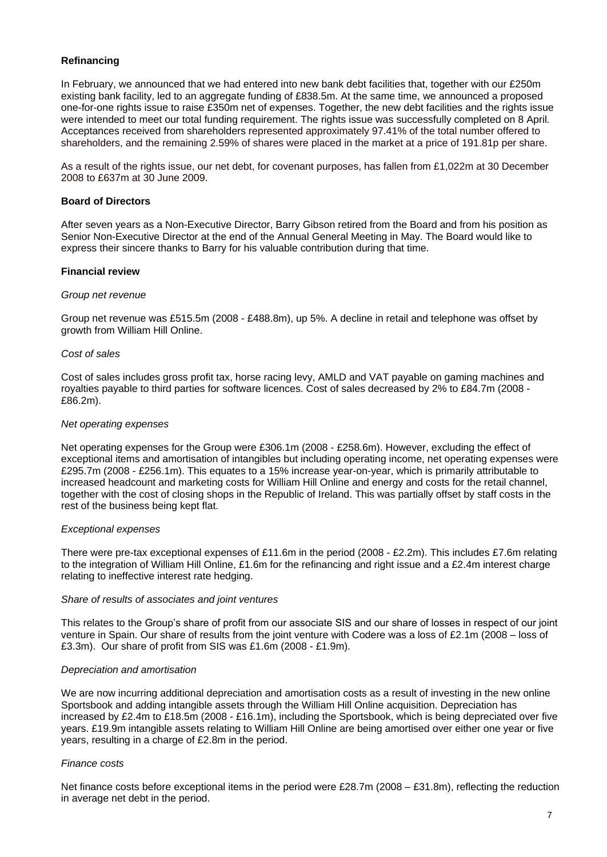# **Refinancing**

In February, we announced that we had entered into new bank debt facilities that, together with our £250m existing bank facility, led to an aggregate funding of £838.5m. At the same time, we announced a proposed one-for-one rights issue to raise £350m net of expenses. Together, the new debt facilities and the rights issue were intended to meet our total funding requirement. The rights issue was successfully completed on 8 April. Acceptances received from shareholders represented approximately 97.41% of the total number offered to shareholders, and the remaining 2.59% of shares were placed in the market at a price of 191.81p per share.

As a result of the rights issue, our net debt, for covenant purposes, has fallen from £1,022m at 30 December 2008 to £637m at 30 June 2009.

# **Board of Directors**

After seven years as a Non-Executive Director, Barry Gibson retired from the Board and from his position as Senior Non-Executive Director at the end of the Annual General Meeting in May. The Board would like to express their sincere thanks to Barry for his valuable contribution during that time.

# **Financial review**

#### *Group net revenue*

Group net revenue was £515.5m (2008 - £488.8m), up 5%. A decline in retail and telephone was offset by growth from William Hill Online.

#### *Cost of sales*

Cost of sales includes gross profit tax, horse racing levy, AMLD and VAT payable on gaming machines and royalties payable to third parties for software licences. Cost of sales decreased by 2% to £84.7m (2008 - £86.2m).

#### *Net operating expenses*

Net operating expenses for the Group were £306.1m (2008 - £258.6m). However, excluding the effect of exceptional items and amortisation of intangibles but including operating income, net operating expenses were £295.7m (2008 - £256.1m). This equates to a 15% increase year-on-year, which is primarily attributable to increased headcount and marketing costs for William Hill Online and energy and costs for the retail channel, together with the cost of closing shops in the Republic of Ireland. This was partially offset by staff costs in the rest of the business being kept flat.

#### *Exceptional expenses*

There were pre-tax exceptional expenses of £11.6m in the period (2008 - £2.2m). This includes £7.6m relating to the integration of William Hill Online, £1.6m for the refinancing and right issue and a £2.4m interest charge relating to ineffective interest rate hedging.

#### *Share of results of associates and joint ventures*

This relates to the Group"s share of profit from our associate SIS and our share of losses in respect of our joint venture in Spain. Our share of results from the joint venture with Codere was a loss of £2.1m (2008 – loss of £3.3m). Our share of profit from SIS was £1.6m (2008 - £1.9m).

#### *Depreciation and amortisation*

We are now incurring additional depreciation and amortisation costs as a result of investing in the new online Sportsbook and adding intangible assets through the William Hill Online acquisition. Depreciation has increased by £2.4m to £18.5m (2008 - £16.1m), including the Sportsbook, which is being depreciated over five years. £19.9m intangible assets relating to William Hill Online are being amortised over either one year or five years, resulting in a charge of £2.8m in the period.

#### *Finance costs*

Net finance costs before exceptional items in the period were £28.7m (2008 – £31.8m), reflecting the reduction in average net debt in the period.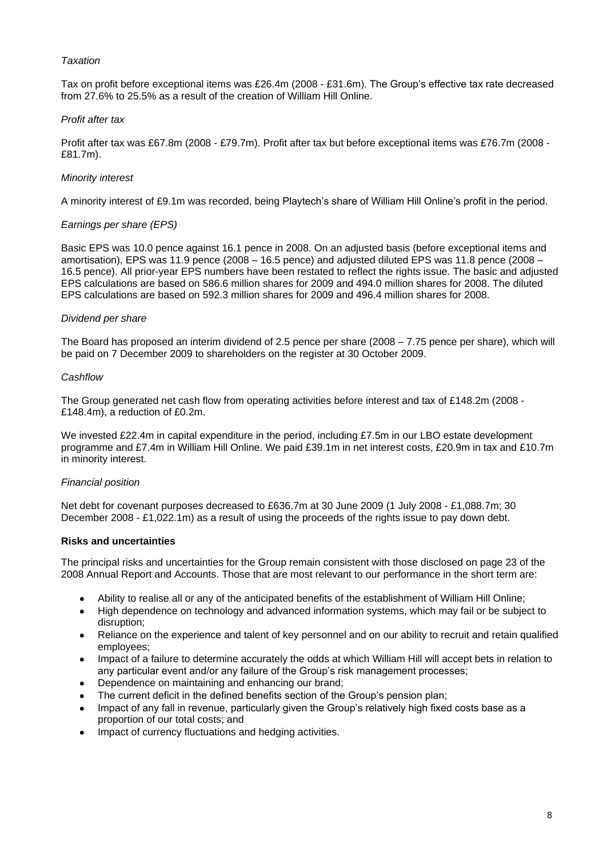# *Taxation*

Tax on profit before exceptional items was £26.4m (2008 - £31.6m). The Group"s effective tax rate decreased from 27.6% to 25.5% as a result of the creation of William Hill Online.

# *Profit after tax*

Profit after tax was £67.8m (2008 - £79.7m). Profit after tax but before exceptional items was £76.7m (2008 - £81.7m).

# *Minority interest*

A minority interest of £9.1m was recorded, being Playtech"s share of William Hill Online"s profit in the period.

# *Earnings per share (EPS)*

Basic EPS was 10.0 pence against 16.1 pence in 2008. On an adjusted basis (before exceptional items and amortisation), EPS was 11.9 pence (2008 – 16.5 pence) and adjusted diluted EPS was 11.8 pence (2008 – 16.5 pence). All prior-year EPS numbers have been restated to reflect the rights issue. The basic and adjusted EPS calculations are based on 586.6 million shares for 2009 and 494.0 million shares for 2008. The diluted EPS calculations are based on 592.3 million shares for 2009 and 496.4 million shares for 2008.

# *Dividend per share*

The Board has proposed an interim dividend of 2.5 pence per share (2008 – 7.75 pence per share), which will be paid on 7 December 2009 to shareholders on the register at 30 October 2009.

#### *Cashflow*

The Group generated net cash flow from operating activities before interest and tax of £148.2m (2008 - £148.4m), a reduction of £0.2m.

We invested £22.4m in capital expenditure in the period, including £7.5m in our LBO estate development programme and £7.4m in William Hill Online. We paid £39.1m in net interest costs, £20.9m in tax and £10.7m in minority interest.

#### *Financial position*

Net debt for covenant purposes decreased to £636.7m at 30 June 2009 (1 July 2008 - £1,088.7m; 30 December 2008 - £1,022.1m) as a result of using the proceeds of the rights issue to pay down debt.

#### **Risks and uncertainties**

The principal risks and uncertainties for the Group remain consistent with those disclosed on page 23 of the 2008 Annual Report and Accounts. Those that are most relevant to our performance in the short term are:

- Ability to realise all or any of the anticipated benefits of the establishment of William Hill Online;
- High dependence on technology and advanced information systems, which may fail or be subject to disruption;
- Reliance on the experience and talent of key personnel and on our ability to recruit and retain qualified employees;
- Impact of a failure to determine accurately the odds at which William Hill will accept bets in relation to any particular event and/or any failure of the Group"s risk management processes;
- Dependence on maintaining and enhancing our brand;
- The current deficit in the defined benefits section of the Group"s pension plan;
- Impact of any fall in revenue, particularly given the Group"s relatively high fixed costs base as a proportion of our total costs; and
- Impact of currency fluctuations and hedging activities.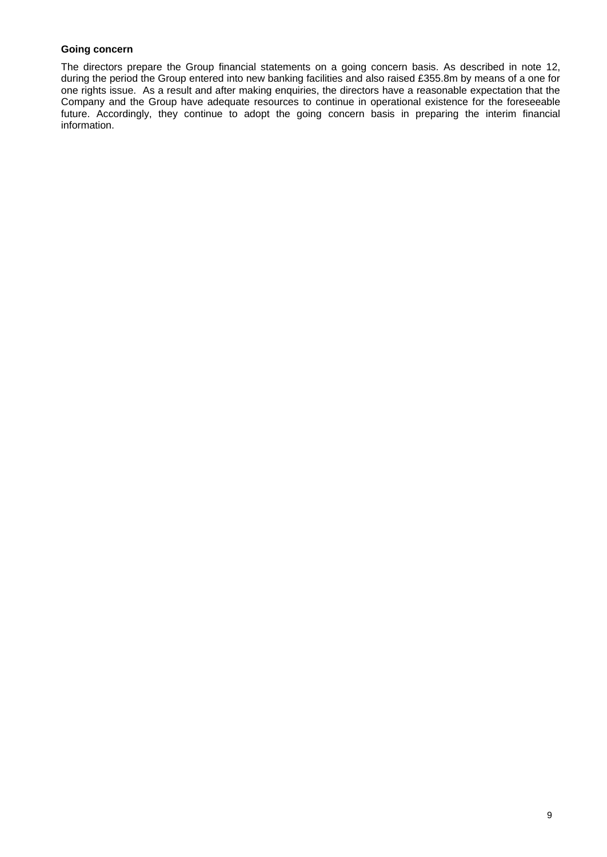# **Going concern**

The directors prepare the Group financial statements on a going concern basis. As described in note 12, during the period the Group entered into new banking facilities and also raised £355.8m by means of a one for one rights issue. As a result and after making enquiries, the directors have a reasonable expectation that the Company and the Group have adequate resources to continue in operational existence for the foreseeable future. Accordingly, they continue to adopt the going concern basis in preparing the interim financial information.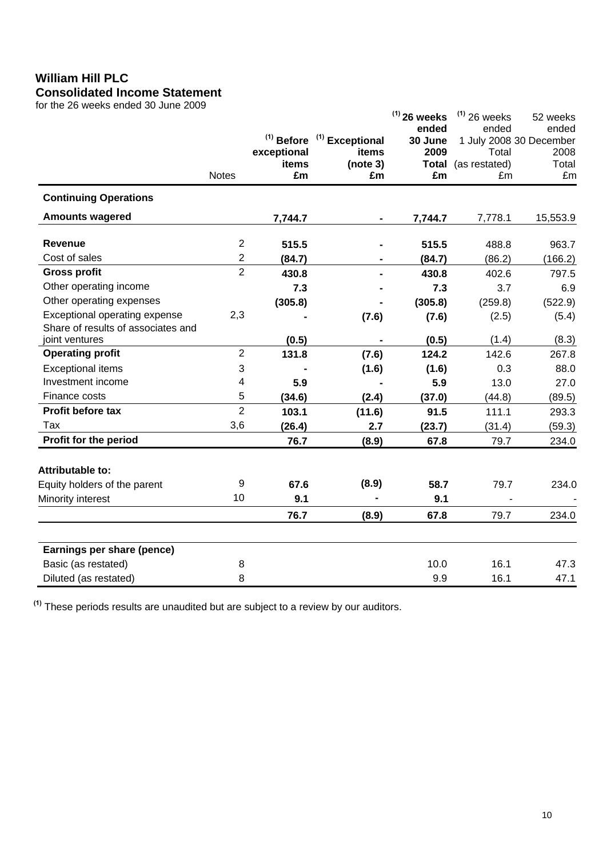# **William Hill PLC Consolidated Income Statement**

for the 26 weeks ended 30 June 2009

| ior the 20 weeks ended 30 June 2009                                 | <b>Notes</b>   | $(1)$ Before<br>exceptional<br>items<br>£m | $(1)$ Exceptional<br>items<br>(note 3)<br>£m | $(1)$ 26 weeks<br>ended<br>30 June<br>2009<br><b>Total</b><br>£m | $(1)$ 26 weeks<br>ended<br>Total<br>(as restated)<br>£m | 52 weeks<br>ended<br>1 July 2008 30 December<br>2008<br>Total<br>£m |
|---------------------------------------------------------------------|----------------|--------------------------------------------|----------------------------------------------|------------------------------------------------------------------|---------------------------------------------------------|---------------------------------------------------------------------|
| <b>Continuing Operations</b>                                        |                |                                            |                                              |                                                                  |                                                         |                                                                     |
| <b>Amounts wagered</b>                                              |                | 7,744.7                                    |                                              | 7,744.7                                                          | 7,778.1                                                 | 15,553.9                                                            |
| <b>Revenue</b>                                                      | $\overline{c}$ | 515.5                                      |                                              | 515.5                                                            | 488.8                                                   | 963.7                                                               |
| Cost of sales                                                       | $\overline{2}$ | (84.7)                                     |                                              | (84.7)                                                           | (86.2)                                                  | (166.2)                                                             |
| <b>Gross profit</b>                                                 | $\overline{2}$ | 430.8                                      |                                              | 430.8                                                            | 402.6                                                   | 797.5                                                               |
| Other operating income                                              |                | 7.3                                        |                                              | 7.3                                                              | 3.7                                                     | 6.9                                                                 |
| Other operating expenses                                            |                | (305.8)                                    |                                              | (305.8)                                                          | (259.8)                                                 | (522.9)                                                             |
| Exceptional operating expense<br>Share of results of associates and | 2,3            |                                            | (7.6)                                        | (7.6)                                                            | (2.5)                                                   | (5.4)                                                               |
| joint ventures                                                      |                | (0.5)                                      |                                              | (0.5)                                                            | (1.4)                                                   | (8.3)                                                               |
| <b>Operating profit</b>                                             | $\overline{2}$ | 131.8                                      | (7.6)                                        | 124.2                                                            | 142.6                                                   | 267.8                                                               |
| <b>Exceptional items</b>                                            | 3              |                                            | (1.6)                                        | (1.6)                                                            | 0.3                                                     | 88.0                                                                |
| Investment income                                                   | 4              | 5.9                                        |                                              | 5.9                                                              | 13.0                                                    | 27.0                                                                |
| Finance costs                                                       | 5              | (34.6)                                     | (2.4)                                        | (37.0)                                                           | (44.8)                                                  | (89.5)                                                              |
| Profit before tax                                                   | $\overline{2}$ | 103.1                                      | (11.6)                                       | 91.5                                                             | 111.1                                                   | 293.3                                                               |
| Tax                                                                 | 3,6            | (26.4)                                     | 2.7                                          | (23.7)                                                           | (31.4)                                                  | (59.3)                                                              |
| Profit for the period                                               |                | 76.7                                       | (8.9)                                        | 67.8                                                             | 79.7                                                    | 234.0                                                               |
| <b>Attributable to:</b>                                             |                |                                            |                                              |                                                                  |                                                         |                                                                     |
| Equity holders of the parent                                        | 9              | 67.6                                       | (8.9)                                        | 58.7                                                             | 79.7                                                    | 234.0                                                               |
| Minority interest                                                   | 10             | 9.1                                        |                                              | 9.1                                                              |                                                         |                                                                     |
|                                                                     |                | 76.7                                       | (8.9)                                        | 67.8                                                             | 79.7                                                    | 234.0                                                               |
| Earnings per share (pence)                                          |                |                                            |                                              |                                                                  |                                                         |                                                                     |
| Basic (as restated)                                                 | 8              |                                            |                                              | 10.0                                                             | 16.1                                                    | 47.3                                                                |
| Diluted (as restated)                                               | 8              |                                            |                                              | 9.9                                                              | 16.1                                                    | 47.1                                                                |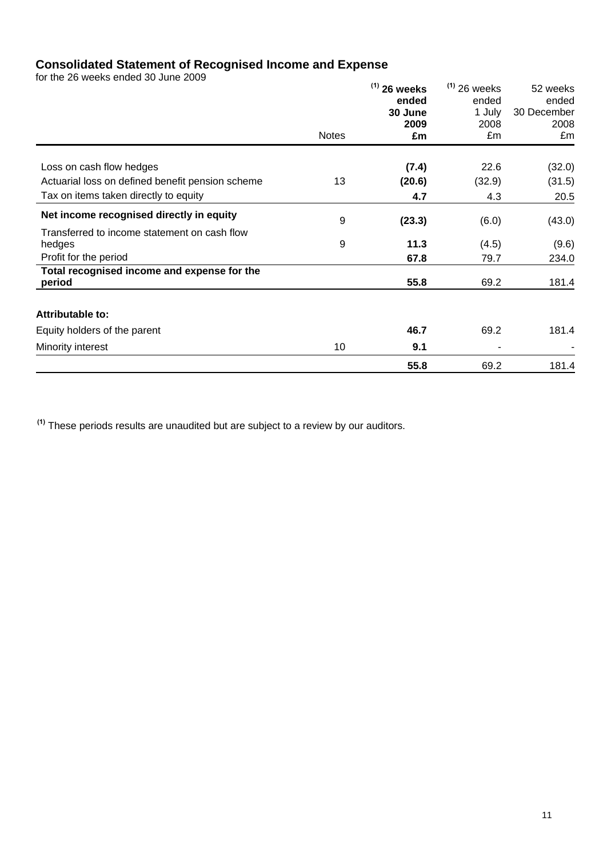# **Consolidated Statement of Recognised Income and Expense**

for the 26 weeks ended 30 June 2009

|                                                       | <b>Notes</b> | $(1)$ 26 weeks<br>ended<br>30 June<br>2009<br>£m | $(1)$ 26 weeks<br>ended<br>1 July<br>2008<br>£m | 52 weeks<br>ended<br>30 December<br>2008<br>£m |
|-------------------------------------------------------|--------------|--------------------------------------------------|-------------------------------------------------|------------------------------------------------|
| Loss on cash flow hedges                              |              | (7.4)                                            | 22.6                                            | (32.0)                                         |
| Actuarial loss on defined benefit pension scheme      | 13           | (20.6)                                           | (32.9)                                          | (31.5)                                         |
| Tax on items taken directly to equity                 |              | 4.7                                              | 4.3                                             | 20.5                                           |
| Net income recognised directly in equity              | 9            | (23.3)                                           | (6.0)                                           | (43.0)                                         |
| Transferred to income statement on cash flow          |              |                                                  |                                                 |                                                |
| hedges                                                | 9            | 11.3                                             | (4.5)                                           | (9.6)                                          |
| Profit for the period                                 |              | 67.8                                             | 79.7                                            | 234.0                                          |
| Total recognised income and expense for the<br>period |              | 55.8                                             | 69.2                                            | 181.4                                          |
| <b>Attributable to:</b>                               |              |                                                  |                                                 |                                                |
| Equity holders of the parent                          |              | 46.7                                             | 69.2                                            | 181.4                                          |
| Minority interest                                     | 10           | 9.1                                              |                                                 |                                                |
|                                                       |              | 55.8                                             | 69.2                                            | 181.4                                          |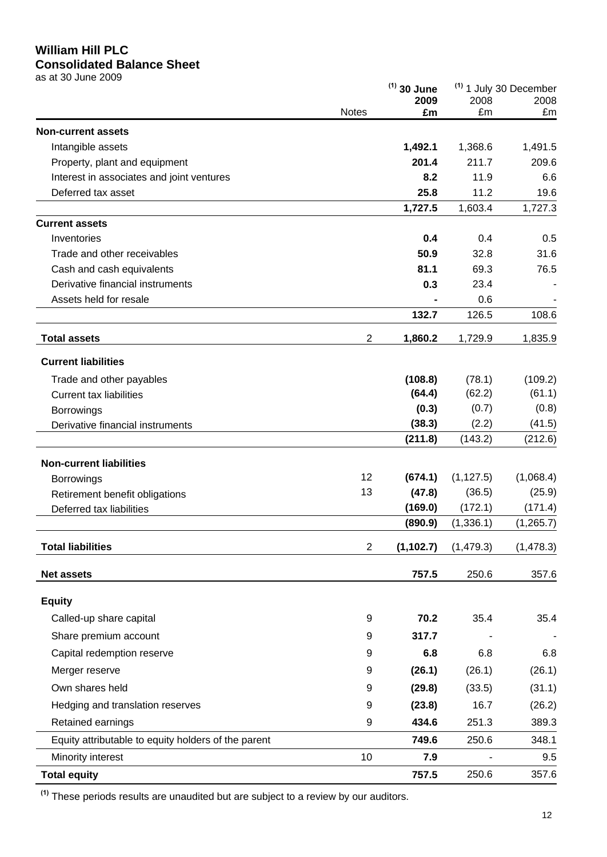# **William Hill PLC**

# **Consolidated Balance Sheet**

as at 30 June 2009

|                                                     |                | $(1)$ 30 June |            | <sup>(1)</sup> 1 July 30 December |  |
|-----------------------------------------------------|----------------|---------------|------------|-----------------------------------|--|
|                                                     | <b>Notes</b>   | 2009<br>£m    | 2008<br>£m | 2008<br>£m                        |  |
| <b>Non-current assets</b>                           |                |               |            |                                   |  |
| Intangible assets                                   |                | 1,492.1       | 1,368.6    | 1,491.5                           |  |
| Property, plant and equipment                       |                | 201.4         | 211.7      | 209.6                             |  |
| Interest in associates and joint ventures           |                | 8.2           | 11.9       | 6.6                               |  |
| Deferred tax asset                                  |                | 25.8          | 11.2       | 19.6                              |  |
|                                                     |                | 1,727.5       | 1,603.4    | 1,727.3                           |  |
| <b>Current assets</b>                               |                |               |            |                                   |  |
| Inventories                                         |                | 0.4           | 0.4        | 0.5                               |  |
| Trade and other receivables                         |                | 50.9          | 32.8       | 31.6                              |  |
| Cash and cash equivalents                           |                | 81.1          | 69.3       | 76.5                              |  |
| Derivative financial instruments                    |                | 0.3           | 23.4       |                                   |  |
| Assets held for resale                              |                |               | 0.6        |                                   |  |
|                                                     |                | 132.7         | 126.5      | 108.6                             |  |
| <b>Total assets</b>                                 | $\overline{2}$ | 1,860.2       | 1,729.9    | 1,835.9                           |  |
| <b>Current liabilities</b>                          |                |               |            |                                   |  |
| Trade and other payables                            |                | (108.8)       | (78.1)     | (109.2)                           |  |
| <b>Current tax liabilities</b>                      |                | (64.4)        | (62.2)     | (61.1)                            |  |
| Borrowings                                          |                | (0.3)         | (0.7)      | (0.8)                             |  |
| Derivative financial instruments                    |                | (38.3)        | (2.2)      | (41.5)                            |  |
|                                                     |                | (211.8)       | (143.2)    | (212.6)                           |  |
| <b>Non-current liabilities</b>                      |                |               |            |                                   |  |
| <b>Borrowings</b>                                   | 12             | (674.1)       | (1, 127.5) | (1,068.4)                         |  |
| Retirement benefit obligations                      | 13             | (47.8)        | (36.5)     | (25.9)                            |  |
| Deferred tax liabilities                            |                | (169.0)       | (172.1)    | (171.4)                           |  |
|                                                     |                | (890.9)       | (1, 336.1) | (1, 265.7)                        |  |
| <b>Total liabilities</b>                            | $\overline{c}$ | (1, 102.7)    | (1, 479.3) | (1, 478.3)                        |  |
| <b>Net assets</b>                                   |                | 757.5         | 250.6      | 357.6                             |  |
| <b>Equity</b>                                       |                |               |            |                                   |  |
| Called-up share capital                             | 9              | 70.2          | 35.4       | 35.4                              |  |
| Share premium account                               | 9              | 317.7         |            |                                   |  |
| Capital redemption reserve                          | 9              | 6.8           | 6.8        | 6.8                               |  |
| Merger reserve                                      | 9              | (26.1)        | (26.1)     | (26.1)                            |  |
| Own shares held                                     | 9              | (29.8)        | (33.5)     | (31.1)                            |  |
| Hedging and translation reserves                    | 9              | (23.8)        | 16.7       | (26.2)                            |  |
| Retained earnings                                   | 9              | 434.6         | 251.3      | 389.3                             |  |
| Equity attributable to equity holders of the parent |                | 749.6         | 250.6      | 348.1                             |  |
| Minority interest                                   | 10             | 7.9           |            | 9.5                               |  |
| <b>Total equity</b>                                 |                | 757.5         | 250.6      | 357.6                             |  |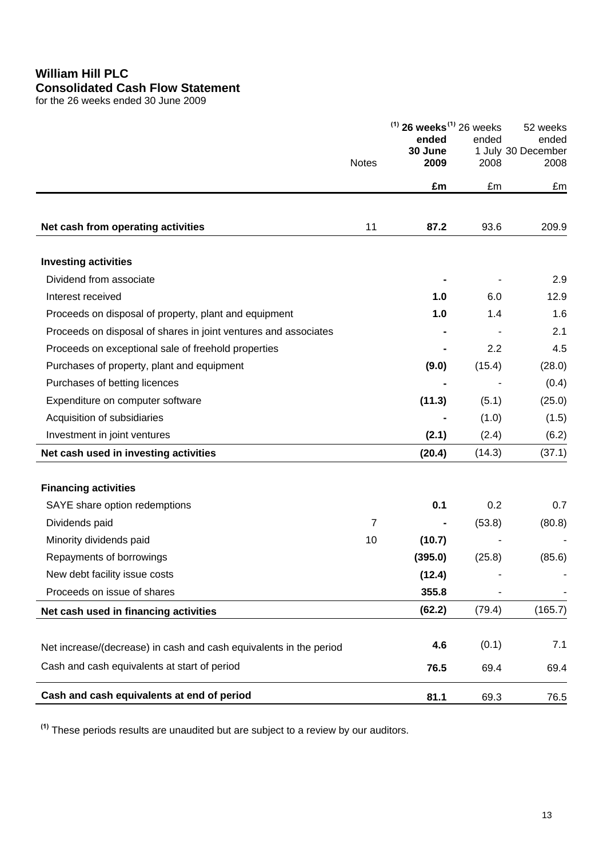# **William Hill PLC Consolidated Cash Flow Statement**

for the 26 weeks ended 30 June 2009

|                                                                    |                | $(1)$ 26 weeks <sup>(1)</sup> 26 weeks<br>ended |        | 52 weeks<br>ended          |  |
|--------------------------------------------------------------------|----------------|-------------------------------------------------|--------|----------------------------|--|
|                                                                    | <b>Notes</b>   | 30 June<br>2009                                 | 2008   | 1 July 30 December<br>2008 |  |
|                                                                    |                | £m                                              | £m     | £m                         |  |
|                                                                    |                |                                                 |        |                            |  |
| Net cash from operating activities                                 | 11             | 87.2                                            | 93.6   | 209.9                      |  |
| <b>Investing activities</b>                                        |                |                                                 |        |                            |  |
| Dividend from associate                                            |                |                                                 |        | 2.9                        |  |
| Interest received                                                  |                | 1.0                                             | 6.0    | 12.9                       |  |
| Proceeds on disposal of property, plant and equipment              |                | 1.0                                             | 1.4    | 1.6                        |  |
| Proceeds on disposal of shares in joint ventures and associates    |                |                                                 |        | 2.1                        |  |
| Proceeds on exceptional sale of freehold properties                |                |                                                 | 2.2    | 4.5                        |  |
| Purchases of property, plant and equipment                         |                | (9.0)                                           | (15.4) | (28.0)                     |  |
| Purchases of betting licences                                      |                |                                                 |        | (0.4)                      |  |
| Expenditure on computer software                                   |                | (11.3)                                          | (5.1)  | (25.0)                     |  |
| Acquisition of subsidiaries                                        |                |                                                 | (1.0)  | (1.5)                      |  |
| Investment in joint ventures                                       |                | (2.1)                                           | (2.4)  | (6.2)                      |  |
| Net cash used in investing activities                              |                | (20.4)                                          | (14.3) | (37.1)                     |  |
|                                                                    |                |                                                 |        |                            |  |
| <b>Financing activities</b>                                        |                |                                                 |        |                            |  |
| SAYE share option redemptions                                      |                | 0.1                                             | 0.2    | 0.7                        |  |
| Dividends paid                                                     | $\overline{7}$ |                                                 | (53.8) | (80.8)                     |  |
| Minority dividends paid                                            | 10             | (10.7)                                          |        |                            |  |
| Repayments of borrowings                                           |                | (395.0)                                         | (25.8) | (85.6)                     |  |
| New debt facility issue costs                                      |                | (12.4)                                          |        |                            |  |
| Proceeds on issue of shares                                        |                | 355.8                                           |        |                            |  |
| Net cash used in financing activities                              |                | (62.2)                                          | (79.4) | (165.7)                    |  |
| Net increase/(decrease) in cash and cash equivalents in the period |                | 4.6                                             | (0.1)  | 7.1                        |  |
| Cash and cash equivalents at start of period                       |                | 76.5                                            | 69.4   | 69.4                       |  |
| Cash and cash equivalents at end of period                         |                | 81.1                                            | 69.3   | 76.5                       |  |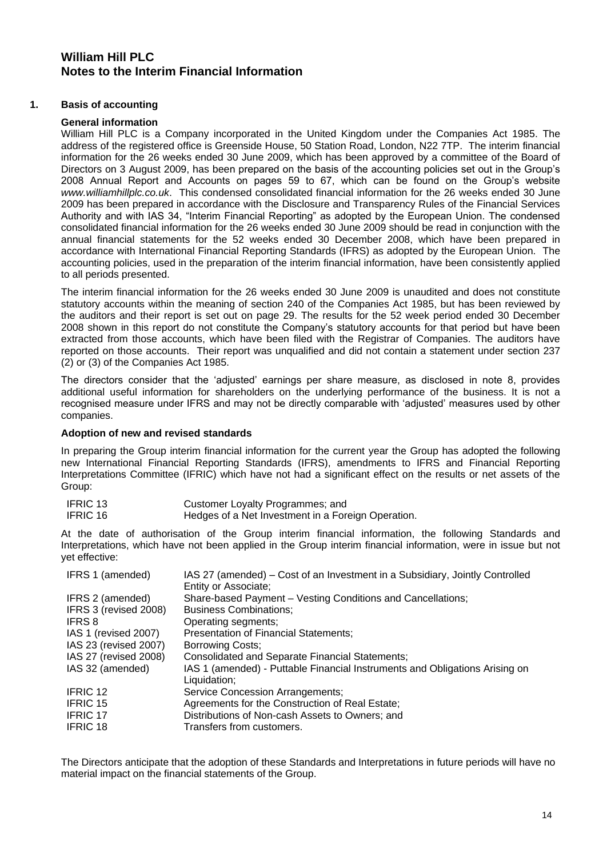# **William Hill PLC Notes to the Interim Financial Information**

# **1. Basis of accounting**

# **General information**

William Hill PLC is a Company incorporated in the United Kingdom under the Companies Act 1985. The address of the registered office is Greenside House, 50 Station Road, London, N22 7TP. The interim financial information for the 26 weeks ended 30 June 2009, which has been approved by a committee of the Board of Directors on 3 August 2009, has been prepared on the basis of the accounting policies set out in the Group"s 2008 Annual Report and Accounts on pages 59 to 67, which can be found on the Group"s website *www.williamhillplc.co.uk*. This condensed consolidated financial information for the 26 weeks ended 30 June 2009 has been prepared in accordance with the Disclosure and Transparency Rules of the Financial Services Authority and with IAS 34, "Interim Financial Reporting" as adopted by the European Union. The condensed consolidated financial information for the 26 weeks ended 30 June 2009 should be read in conjunction with the annual financial statements for the 52 weeks ended 30 December 2008, which have been prepared in accordance with International Financial Reporting Standards (IFRS) as adopted by the European Union. The accounting policies, used in the preparation of the interim financial information, have been consistently applied to all periods presented.

The interim financial information for the 26 weeks ended 30 June 2009 is unaudited and does not constitute statutory accounts within the meaning of section 240 of the Companies Act 1985, but has been reviewed by the auditors and their report is set out on page 29. The results for the 52 week period ended 30 December 2008 shown in this report do not constitute the Company"s statutory accounts for that period but have been extracted from those accounts, which have been filed with the Registrar of Companies. The auditors have reported on those accounts. Their report was unqualified and did not contain a statement under section 237 (2) or (3) of the Companies Act 1985.

The directors consider that the "adjusted" earnings per share measure, as disclosed in note 8, provides additional useful information for shareholders on the underlying performance of the business. It is not a recognised measure under IFRS and may not be directly comparable with "adjusted" measures used by other companies.

# **Adoption of new and revised standards**

In preparing the Group interim financial information for the current year the Group has adopted the following new International Financial Reporting Standards (IFRS), amendments to IFRS and Financial Reporting Interpretations Committee (IFRIC) which have not had a significant effect on the results or net assets of the Group:

| IFRIC 13        | Customer Loyalty Programmes; and                   |
|-----------------|----------------------------------------------------|
| <b>IFRIC 16</b> | Hedges of a Net Investment in a Foreign Operation. |

At the date of authorisation of the Group interim financial information, the following Standards and Interpretations, which have not been applied in the Group interim financial information, were in issue but not yet effective:

| IFRS 1 (amended)      | IAS 27 (amended) – Cost of an Investment in a Subsidiary, Jointly Controlled<br>Entity or Associate; |
|-----------------------|------------------------------------------------------------------------------------------------------|
| IFRS 2 (amended)      | Share-based Payment - Vesting Conditions and Cancellations;                                          |
| IFRS 3 (revised 2008) | <b>Business Combinations;</b>                                                                        |
| <b>IFRS 8</b>         | Operating segments;                                                                                  |
| IAS 1 (revised 2007)  | <b>Presentation of Financial Statements;</b>                                                         |
| IAS 23 (revised 2007) | <b>Borrowing Costs;</b>                                                                              |
| IAS 27 (revised 2008) | Consolidated and Separate Financial Statements;                                                      |
| IAS 32 (amended)      | IAS 1 (amended) - Puttable Financial Instruments and Obligations Arising on<br>Liquidation;          |
| <b>IFRIC 12</b>       | Service Concession Arrangements;                                                                     |
| <b>IFRIC 15</b>       | Agreements for the Construction of Real Estate;                                                      |
| <b>IFRIC 17</b>       | Distributions of Non-cash Assets to Owners; and                                                      |
| <b>IFRIC 18</b>       | Transfers from customers.                                                                            |

The Directors anticipate that the adoption of these Standards and Interpretations in future periods will have no material impact on the financial statements of the Group.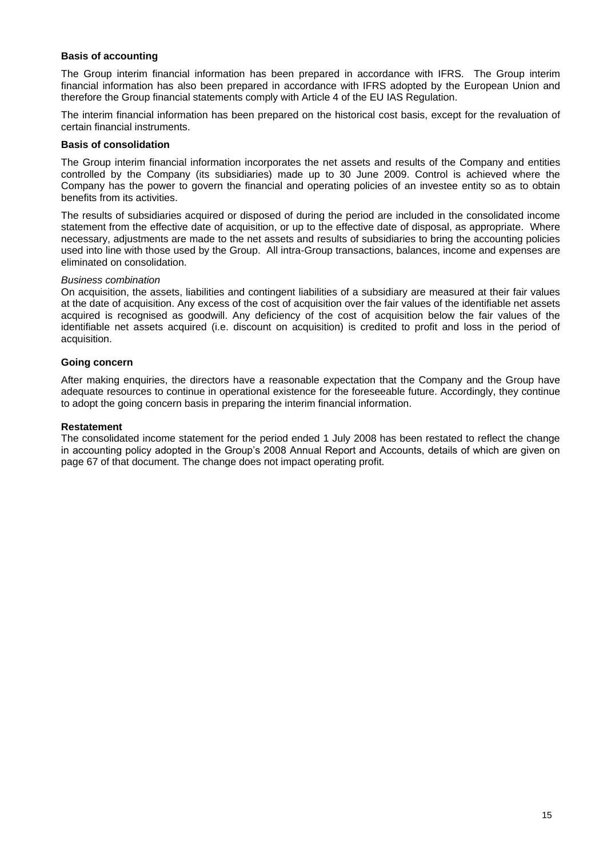# **Basis of accounting**

The Group interim financial information has been prepared in accordance with IFRS. The Group interim financial information has also been prepared in accordance with IFRS adopted by the European Union and therefore the Group financial statements comply with Article 4 of the EU IAS Regulation.

The interim financial information has been prepared on the historical cost basis, except for the revaluation of certain financial instruments.

#### **Basis of consolidation**

The Group interim financial information incorporates the net assets and results of the Company and entities controlled by the Company (its subsidiaries) made up to 30 June 2009. Control is achieved where the Company has the power to govern the financial and operating policies of an investee entity so as to obtain benefits from its activities.

The results of subsidiaries acquired or disposed of during the period are included in the consolidated income statement from the effective date of acquisition, or up to the effective date of disposal, as appropriate. Where necessary, adjustments are made to the net assets and results of subsidiaries to bring the accounting policies used into line with those used by the Group. All intra-Group transactions, balances, income and expenses are eliminated on consolidation.

#### *Business combination*

On acquisition, the assets, liabilities and contingent liabilities of a subsidiary are measured at their fair values at the date of acquisition. Any excess of the cost of acquisition over the fair values of the identifiable net assets acquired is recognised as goodwill. Any deficiency of the cost of acquisition below the fair values of the identifiable net assets acquired (i.e. discount on acquisition) is credited to profit and loss in the period of acquisition.

# **Going concern**

After making enquiries, the directors have a reasonable expectation that the Company and the Group have adequate resources to continue in operational existence for the foreseeable future. Accordingly, they continue to adopt the going concern basis in preparing the interim financial information.

#### **Restatement**

The consolidated income statement for the period ended 1 July 2008 has been restated to reflect the change in accounting policy adopted in the Group"s 2008 Annual Report and Accounts, details of which are given on page 67 of that document. The change does not impact operating profit.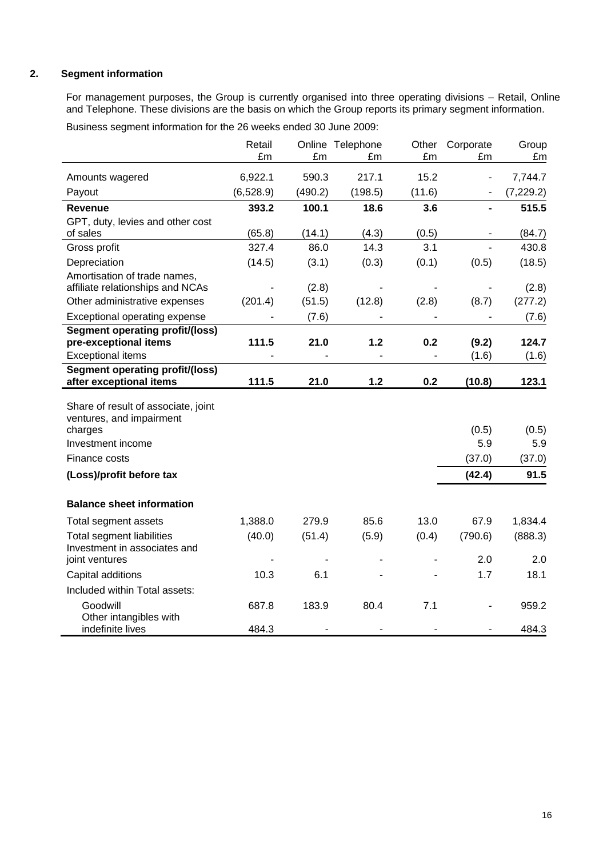# **2. Segment information**

For management purposes, the Group is currently organised into three operating divisions – Retail, Online and Telephone. These divisions are the basis on which the Group reports its primary segment information.

Business segment information for the 26 weeks ended 30 June 2009:

|                                                                                                 | Retail<br>£m | £m      | Online Telephone<br>£m | Other<br>£m | Corporate<br>£m | Group<br>£m  |
|-------------------------------------------------------------------------------------------------|--------------|---------|------------------------|-------------|-----------------|--------------|
| Amounts wagered                                                                                 | 6,922.1      | 590.3   | 217.1                  | 15.2        |                 | 7,744.7      |
| Payout                                                                                          | (6,528.9)    | (490.2) | (198.5)                | (11.6)      |                 | (7, 229.2)   |
| Revenue                                                                                         | 393.2        | 100.1   | 18.6                   | 3.6         |                 | 515.5        |
| GPT, duty, levies and other cost                                                                |              |         |                        |             |                 |              |
| of sales                                                                                        | (65.8)       | (14.1)  | (4.3)                  | (0.5)       |                 | (84.7)       |
| Gross profit                                                                                    | 327.4        | 86.0    | 14.3                   | 3.1         |                 | 430.8        |
| Depreciation                                                                                    | (14.5)       | (3.1)   | (0.3)                  | (0.1)       | (0.5)           | (18.5)       |
| Amortisation of trade names,<br>affiliate relationships and NCAs                                |              | (2.8)   |                        |             |                 | (2.8)        |
| Other administrative expenses                                                                   | (201.4)      | (51.5)  | (12.8)                 | (2.8)       | (8.7)           | (277.2)      |
| Exceptional operating expense                                                                   |              | (7.6)   |                        |             |                 | (7.6)        |
| <b>Segment operating profit/(loss)</b>                                                          |              |         |                        |             |                 |              |
| pre-exceptional items                                                                           | 111.5        | 21.0    | 1.2                    | 0.2         | (9.2)           | 124.7        |
| <b>Exceptional items</b>                                                                        |              |         |                        |             | (1.6)           | (1.6)        |
| <b>Segment operating profit/(loss)</b><br>after exceptional items                               | 111.5        | 21.0    | $1.2$                  | 0.2         | (10.8)          | 123.1        |
| Share of result of associate, joint<br>ventures, and impairment<br>charges<br>Investment income |              |         |                        |             | (0.5)<br>5.9    | (0.5)<br>5.9 |
| Finance costs                                                                                   |              |         |                        |             | (37.0)          | (37.0)       |
| (Loss)/profit before tax                                                                        |              |         |                        |             | (42.4)          | 91.5         |
| <b>Balance sheet information</b>                                                                |              |         |                        |             |                 |              |
| Total segment assets                                                                            | 1,388.0      | 279.9   | 85.6                   | 13.0        | 67.9            | 1,834.4      |
| <b>Total segment liabilities</b><br>Investment in associates and                                | (40.0)       | (51.4)  | (5.9)                  | (0.4)       | (790.6)         | (888.3)      |
| joint ventures                                                                                  |              |         |                        |             | 2.0             | 2.0          |
| Capital additions                                                                               | 10.3         | 6.1     |                        |             | 1.7             | 18.1         |
| Included within Total assets:                                                                   |              |         |                        |             |                 |              |
| Goodwill<br>Other intangibles with                                                              | 687.8        | 183.9   | 80.4                   | 7.1         |                 | 959.2        |
| indefinite lives                                                                                | 484.3        |         |                        |             |                 | 484.3        |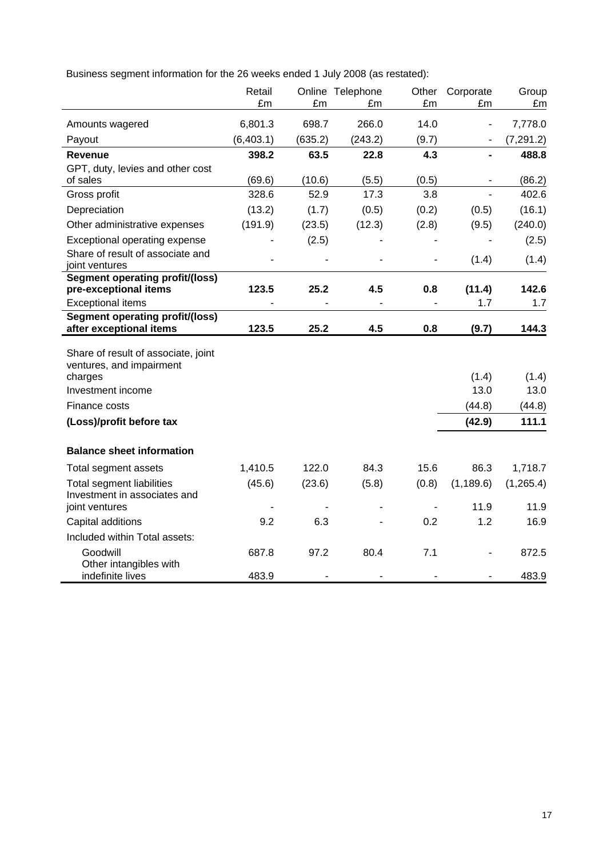Business segment information for the 26 weeks ended 1 July 2008 (as restated):

|                                                                                                                  | Retail<br>£m | £m      | Online Telephone<br>£m   | Other<br>£m              | Corporate<br>£m          | Group<br>£m             |
|------------------------------------------------------------------------------------------------------------------|--------------|---------|--------------------------|--------------------------|--------------------------|-------------------------|
| Amounts wagered                                                                                                  | 6,801.3      | 698.7   | 266.0                    | 14.0                     | $\overline{\phantom{0}}$ | 7,778.0                 |
| Payout                                                                                                           | (6,403.1)    | (635.2) | (243.2)                  | (9.7)                    |                          | (7, 291.2)              |
| <b>Revenue</b>                                                                                                   | 398.2        | 63.5    | 22.8                     | 4.3                      |                          | 488.8                   |
| GPT, duty, levies and other cost<br>of sales                                                                     | (69.6)       | (10.6)  | (5.5)                    | (0.5)                    |                          | (86.2)                  |
| Gross profit                                                                                                     | 328.6        | 52.9    | 17.3                     | 3.8                      |                          | 402.6                   |
| Depreciation                                                                                                     | (13.2)       | (1.7)   | (0.5)                    | (0.2)                    | (0.5)                    | (16.1)                  |
| Other administrative expenses                                                                                    | (191.9)      | (23.5)  | (12.3)                   | (2.8)                    | (9.5)                    | (240.0)                 |
| Exceptional operating expense                                                                                    |              | (2.5)   |                          |                          |                          | (2.5)                   |
| Share of result of associate and<br>joint ventures                                                               |              |         | $\overline{\phantom{a}}$ | $\overline{\phantom{0}}$ | (1.4)                    | (1.4)                   |
| <b>Segment operating profit/(loss)</b><br>pre-exceptional items                                                  | 123.5        | 25.2    | 4.5                      | 0.8                      | (11.4)                   | 142.6                   |
| <b>Exceptional items</b>                                                                                         |              |         |                          |                          | 1.7                      | 1.7                     |
| <b>Segment operating profit/(loss)</b><br>after exceptional items                                                | 123.5        | 25.2    | 4.5                      | 0.8                      | (9.7)                    | 144.3                   |
| Share of result of associate, joint<br>ventures, and impairment<br>charges<br>Investment income<br>Finance costs |              |         |                          |                          | (1.4)<br>13.0<br>(44.8)  | (1.4)<br>13.0<br>(44.8) |
| (Loss)/profit before tax                                                                                         |              |         |                          |                          | (42.9)                   | 111.1                   |
| <b>Balance sheet information</b>                                                                                 |              |         |                          |                          |                          |                         |
| Total segment assets                                                                                             | 1,410.5      | 122.0   | 84.3                     | 15.6                     | 86.3                     | 1,718.7                 |
| <b>Total segment liabilities</b><br>Investment in associates and                                                 | (45.6)       | (23.6)  | (5.8)                    | (0.8)                    | (1, 189.6)               | (1, 265.4)              |
| joint ventures                                                                                                   |              |         | ٠                        | $\blacksquare$           | 11.9                     | 11.9                    |
| Capital additions                                                                                                | 9.2          | 6.3     |                          | 0.2                      | 1.2                      | 16.9                    |
| Included within Total assets:                                                                                    |              |         |                          |                          |                          |                         |
| Goodwill<br>Other intangibles with                                                                               | 687.8        | 97.2    | 80.4                     | 7.1                      |                          | 872.5                   |
| indefinite lives                                                                                                 | 483.9        |         |                          |                          |                          | 483.9                   |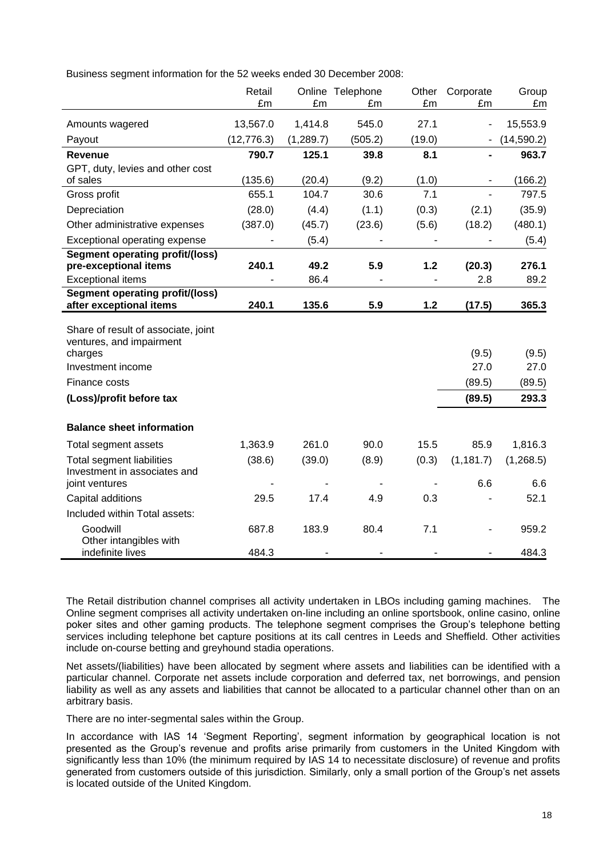Business segment information for the 52 weeks ended 30 December 2008:

|                                                                                                                                              | Retail<br>£m | £m         | Online Telephone<br>£m | Other<br>£m | Corporate<br>£m                   | Group<br>£m                      |
|----------------------------------------------------------------------------------------------------------------------------------------------|--------------|------------|------------------------|-------------|-----------------------------------|----------------------------------|
| Amounts wagered                                                                                                                              | 13,567.0     | 1,414.8    | 545.0                  | 27.1        |                                   | 15,553.9                         |
| Payout                                                                                                                                       | (12, 776.3)  | (1, 289.7) | (505.2)                | (19.0)      |                                   | (14, 590.2)                      |
| <b>Revenue</b>                                                                                                                               | 790.7        | 125.1      | 39.8                   | 8.1         |                                   | 963.7                            |
| GPT, duty, levies and other cost                                                                                                             |              |            |                        |             |                                   |                                  |
| of sales                                                                                                                                     | (135.6)      | (20.4)     | (9.2)                  | (1.0)       |                                   | (166.2)                          |
| Gross profit                                                                                                                                 | 655.1        | 104.7      | 30.6                   | 7.1         |                                   | 797.5                            |
| Depreciation                                                                                                                                 | (28.0)       | (4.4)      | (1.1)                  | (0.3)       | (2.1)                             | (35.9)                           |
| Other administrative expenses                                                                                                                | (387.0)      | (45.7)     | (23.6)                 | (5.6)       | (18.2)                            | (480.1)                          |
| Exceptional operating expense                                                                                                                |              | (5.4)      |                        |             |                                   | (5.4)                            |
| <b>Segment operating profit/(loss)</b><br>pre-exceptional items                                                                              | 240.1        | 49.2       | 5.9                    | 1.2         | (20.3)                            | 276.1                            |
| <b>Exceptional items</b>                                                                                                                     |              | 86.4       |                        |             | 2.8                               | 89.2                             |
| <b>Segment operating profit/(loss)</b><br>after exceptional items                                                                            | 240.1        | 135.6      | 5.9                    | 1.2         | (17.5)                            | 365.3                            |
| Share of result of associate, joint<br>ventures, and impairment<br>charges<br>Investment income<br>Finance costs<br>(Loss)/profit before tax |              |            |                        |             | (9.5)<br>27.0<br>(89.5)<br>(89.5) | (9.5)<br>27.0<br>(89.5)<br>293.3 |
| <b>Balance sheet information</b>                                                                                                             |              |            |                        |             |                                   |                                  |
| Total segment assets                                                                                                                         | 1,363.9      | 261.0      | 90.0                   | 15.5        | 85.9                              | 1,816.3                          |
| <b>Total segment liabilities</b><br>Investment in associates and                                                                             | (38.6)       | (39.0)     | (8.9)                  | (0.3)       | (1, 181.7)                        | (1,268.5)                        |
| joint ventures                                                                                                                               |              |            |                        |             | 6.6                               | 6.6                              |
| Capital additions                                                                                                                            | 29.5         | 17.4       | 4.9                    | 0.3         |                                   | 52.1                             |
| Included within Total assets:                                                                                                                |              |            |                        |             |                                   |                                  |
| Goodwill<br>Other intangibles with                                                                                                           | 687.8        | 183.9      | 80.4                   | 7.1         |                                   | 959.2                            |
| indefinite lives                                                                                                                             | 484.3        |            |                        |             |                                   | 484.3                            |

The Retail distribution channel comprises all activity undertaken in LBOs including gaming machines. The Online segment comprises all activity undertaken on-line including an online sportsbook, online casino, online poker sites and other gaming products. The telephone segment comprises the Group"s telephone betting services including telephone bet capture positions at its call centres in Leeds and Sheffield. Other activities include on-course betting and greyhound stadia operations.

Net assets/(liabilities) have been allocated by segment where assets and liabilities can be identified with a particular channel. Corporate net assets include corporation and deferred tax, net borrowings, and pension liability as well as any assets and liabilities that cannot be allocated to a particular channel other than on an arbitrary basis.

There are no inter-segmental sales within the Group.

In accordance with IAS 14 'Segment Reporting', segment information by geographical location is not presented as the Group"s revenue and profits arise primarily from customers in the United Kingdom with significantly less than 10% (the minimum required by IAS 14 to necessitate disclosure) of revenue and profits generated from customers outside of this jurisdiction. Similarly, only a small portion of the Group's net assets is located outside of the United Kingdom.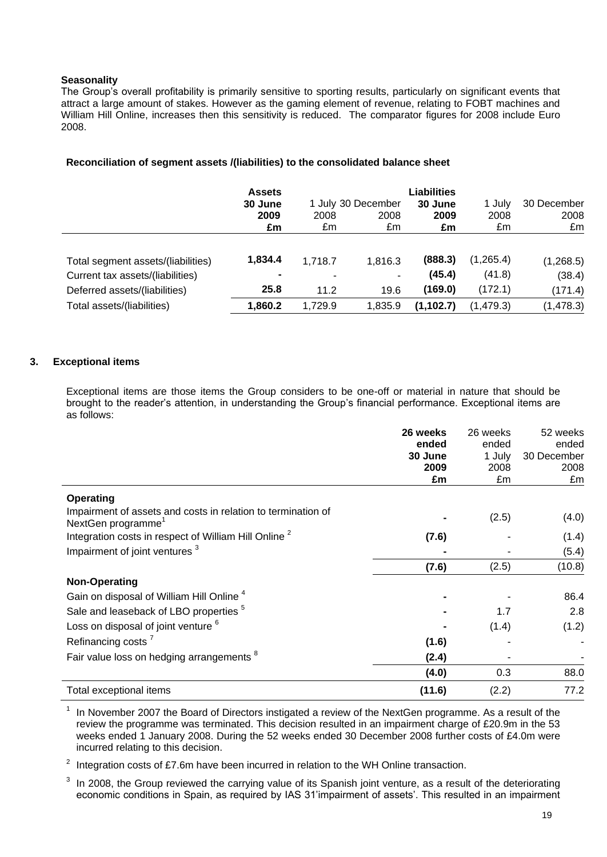# **Seasonality**

The Group"s overall profitability is primarily sensitive to sporting results, particularly on significant events that attract a large amount of stakes. However as the gaming element of revenue, relating to FOBT machines and William Hill Online, increases then this sensitivity is reduced. The comparator figures for 2008 include Euro 2008.

|                                    | <b>Assets</b><br>30 June |         | 1 July 30 December | <b>Liabilities</b><br>30 June | 30 December |            |  |
|------------------------------------|--------------------------|---------|--------------------|-------------------------------|-------------|------------|--|
|                                    | 2009                     | 2008    | 2008               | 2009                          | 2008        | 2008       |  |
|                                    | £m                       | £m      | £m                 | £m                            | £m          | £m         |  |
| Total segment assets/(liabilities) | 1,834.4                  | 1.718.7 | 1,816.3            | (888.3)                       | (1,265.4)   | (1,268.5)  |  |
| Current tax assets/(liabilities)   |                          |         | $\blacksquare$     | (45.4)                        | (41.8)      | (38.4)     |  |
| Deferred assets/(liabilities)      | 25.8                     | 11.2    | 19.6               | (169.0)                       | (172.1)     | (171.4)    |  |
| Total assets/(liabilities)         | 1,860.2                  | 1.729.9 | 1.835.9            | (1, 102.7)                    | (1,479.3)   | (1, 478.3) |  |

# **Reconciliation of segment assets /(liabilities) to the consolidated balance sheet**

# **3. Exceptional items**

Exceptional items are those items the Group considers to be one-off or material in nature that should be brought to the reader"s attention, in understanding the Group"s financial performance. Exceptional items are as follows:

|                                                                                                | 26 weeks<br>ended<br>30 June | 26 weeks<br>ended<br>1 July | 52 weeks<br>ended<br>30 December |
|------------------------------------------------------------------------------------------------|------------------------------|-----------------------------|----------------------------------|
|                                                                                                | 2009<br>£m                   | 2008<br>£m                  | 2008<br>£m                       |
| <b>Operating</b>                                                                               |                              |                             |                                  |
| Impairment of assets and costs in relation to termination of<br>NextGen programme <sup>1</sup> |                              | (2.5)                       | (4.0)                            |
| Integration costs in respect of William Hill Online <sup>2</sup>                               | (7.6)                        |                             | (1.4)                            |
| Impairment of joint ventures <sup>3</sup>                                                      |                              |                             | (5.4)                            |
|                                                                                                | (7.6)                        | (2.5)                       | (10.8)                           |
| <b>Non-Operating</b>                                                                           |                              |                             |                                  |
| Gain on disposal of William Hill Online <sup>4</sup>                                           |                              |                             | 86.4                             |
| Sale and leaseback of LBO properties <sup>5</sup>                                              |                              | 1.7                         | 2.8                              |
| Loss on disposal of joint venture <sup>6</sup>                                                 |                              | (1.4)                       | (1.2)                            |
| Refinancing costs <sup>7</sup>                                                                 | (1.6)                        |                             |                                  |
| Fair value loss on hedging arrangements <sup>8</sup>                                           | (2.4)                        |                             |                                  |
|                                                                                                | (4.0)                        | 0.3                         | 88.0                             |
| Total exceptional items                                                                        | (11.6)                       | (2.2)                       | 77.2                             |

1 In November 2007 the Board of Directors instigated a review of the NextGen programme. As a result of the review the programme was terminated. This decision resulted in an impairment charge of £20.9m in the 53 weeks ended 1 January 2008. During the 52 weeks ended 30 December 2008 further costs of £4.0m were incurred relating to this decision.

2 Integration costs of £7.6m have been incurred in relation to the WH Online transaction.

3 In 2008, the Group reviewed the carrying value of its Spanish joint venture, as a result of the deteriorating economic conditions in Spain, as required by IAS 31'impairment of assets'. This resulted in an impairment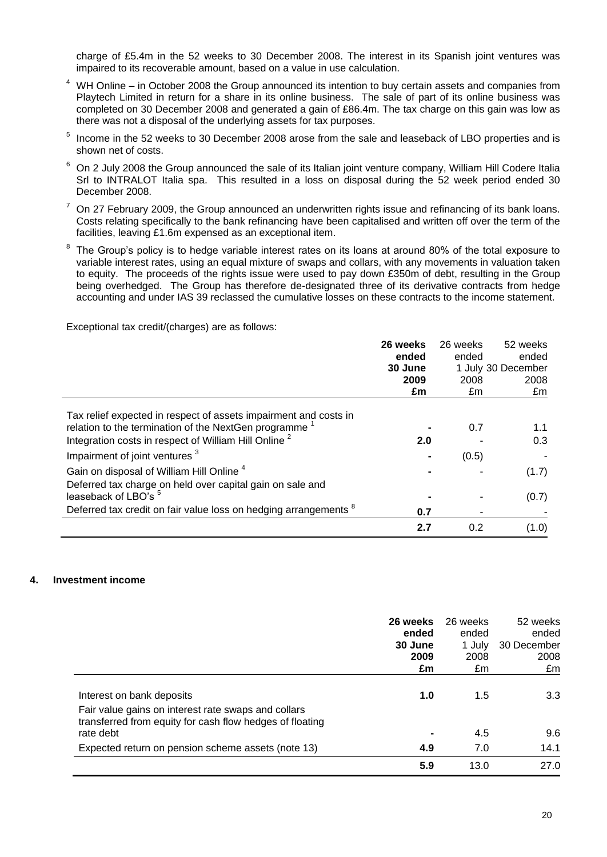charge of £5.4m in the 52 weeks to 30 December 2008. The interest in its Spanish joint ventures was impaired to its recoverable amount, based on a value in use calculation.

- $4\,$  WH Online in October 2008 the Group announced its intention to buy certain assets and companies from Playtech Limited in return for a share in its online business. The sale of part of its online business was completed on 30 December 2008 and generated a gain of £86.4m. The tax charge on this gain was low as there was not a disposal of the underlying assets for tax purposes.
- 5 Income in the 52 weeks to 30 December 2008 arose from the sale and leaseback of LBO properties and is shown net of costs.
- $6$  On 2 July 2008 the Group announced the sale of its Italian joint venture company, William Hill Codere Italia Srl to INTRALOT Italia spa. This resulted in a loss on disposal during the 52 week period ended 30 December 2008.
- <sup>7</sup> On 27 February 2009, the Group announced an underwritten rights issue and refinancing of its bank loans. Costs relating specifically to the bank refinancing have been capitalised and written off over the term of the facilities, leaving £1.6m expensed as an exceptional item.
- 8 The Group"s policy is to hedge variable interest rates on its loans at around 80% of the total exposure to variable interest rates, using an equal mixture of swaps and collars, with any movements in valuation taken to equity. The proceeds of the rights issue were used to pay down £350m of debt, resulting in the Group being overhedged. The Group has therefore de-designated three of its derivative contracts from hedge accounting and under IAS 39 reclassed the cumulative losses on these contracts to the income statement.

Exceptional tax credit/(charges) are as follows:

|                                                                             | 26 weeks | 26 weeks | 52 weeks           |
|-----------------------------------------------------------------------------|----------|----------|--------------------|
|                                                                             | ended    | ended    | ended              |
|                                                                             | 30 June  |          | 1 July 30 December |
|                                                                             | 2009     | 2008     | 2008               |
|                                                                             | £m       | £m       | £m                 |
| Tax relief expected in respect of assets impairment and costs in            |          |          |                    |
| relation to the termination of the NextGen programme                        |          | 0.7      | 1.1                |
| Integration costs in respect of William Hill Online <sup>2</sup>            | 2.0      |          | 0.3                |
| Impairment of joint ventures <sup>3</sup>                                   |          | (0.5)    |                    |
| Gain on disposal of William Hill Online <sup>4</sup>                        |          |          | (1.7)              |
| Deferred tax charge on held over capital gain on sale and                   |          |          |                    |
| leaseback of LBO's <sup>5</sup>                                             |          |          | (0.7)              |
| Deferred tax credit on fair value loss on hedging arrangements <sup>8</sup> | 0.7      |          |                    |
|                                                                             | 2.7      | 0.2      | (1.0)              |

#### **4. Investment income**

|                                                                                                                                              | 26 weeks<br>ended<br>30 June<br>2009<br>£m | 26 weeks<br>ended<br>1 July<br>2008<br>£m | 52 weeks<br>ended<br>30 December<br>2008<br>£m |
|----------------------------------------------------------------------------------------------------------------------------------------------|--------------------------------------------|-------------------------------------------|------------------------------------------------|
| Interest on bank deposits<br>Fair value gains on interest rate swaps and collars<br>transferred from equity for cash flow hedges of floating | 1.0                                        | 1.5                                       | 3.3                                            |
| rate debt                                                                                                                                    |                                            | 4.5                                       | 9.6                                            |
| Expected return on pension scheme assets (note 13)                                                                                           | 4.9                                        | 7.0                                       | 14.1                                           |
|                                                                                                                                              | 5.9                                        | 13.0                                      | 27.0                                           |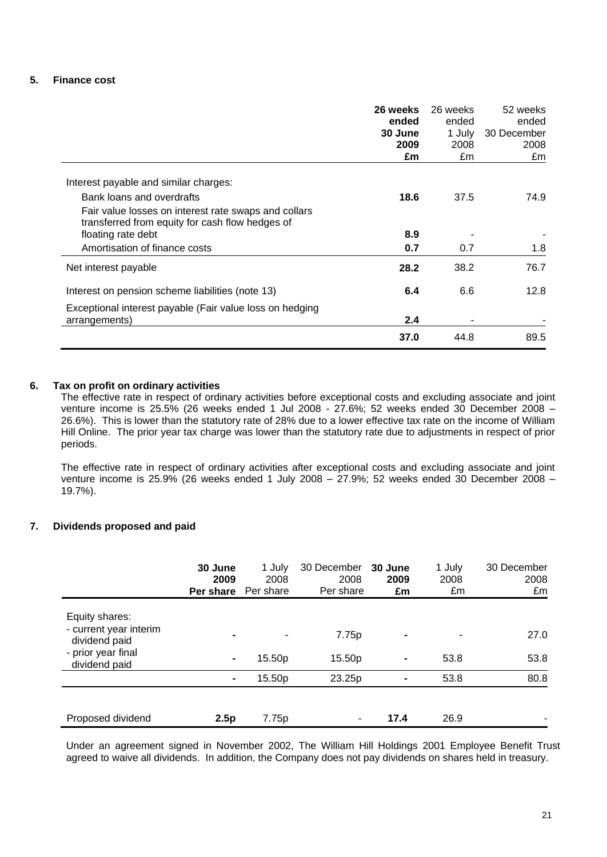# **5. Finance cost**

|                                                                                                         | 26 weeks<br>ended<br>30 June<br>2009<br>£m | 26 weeks<br>ended<br>1 July<br>2008<br>£m | 52 weeks<br>ended<br>30 December<br>2008<br>£m |
|---------------------------------------------------------------------------------------------------------|--------------------------------------------|-------------------------------------------|------------------------------------------------|
| Interest payable and similar charges:                                                                   |                                            |                                           |                                                |
| Bank loans and overdrafts                                                                               | 18.6                                       | 37.5                                      | 74.9                                           |
| Fair value losses on interest rate swaps and collars<br>transferred from equity for cash flow hedges of |                                            |                                           |                                                |
| floating rate debt                                                                                      | 8.9                                        |                                           |                                                |
| Amortisation of finance costs                                                                           | 0.7                                        | 0.7                                       | 1.8                                            |
| Net interest payable                                                                                    | 28.2                                       | 38.2                                      | 76.7                                           |
| Interest on pension scheme liabilities (note 13)                                                        | 6.4                                        | 6.6                                       | 12.8                                           |
| Exceptional interest payable (Fair value loss on hedging<br>arrangements)                               | 2.4                                        |                                           |                                                |
|                                                                                                         |                                            |                                           |                                                |
|                                                                                                         | 37.0                                       | 44.8                                      | 89.5                                           |

# **6. Tax on profit on ordinary activities**

The effective rate in respect of ordinary activities before exceptional costs and excluding associate and joint venture income is 25.5% (26 weeks ended 1 Jul 2008 - 27.6%; 52 weeks ended 30 December 2008 – 26.6%). This is lower than the statutory rate of 28% due to a lower effective tax rate on the income of William Hill Online. The prior year tax charge was lower than the statutory rate due to adjustments in respect of prior periods.

The effective rate in respect of ordinary activities after exceptional costs and excluding associate and joint venture income is 25.9% (26 weeks ended 1 July 2008 – 27.9%; 52 weeks ended 30 December 2008 – 19.7%).

# **7. Dividends proposed and paid**

|                                                           | 30 June<br>2009<br>Per share | 1 July<br>2008<br>Per share | 30 December<br>2008<br>Per share | 30 June<br>2009<br>£m | 1 July<br>2008<br>£m | 30 December<br>2008<br>£m |
|-----------------------------------------------------------|------------------------------|-----------------------------|----------------------------------|-----------------------|----------------------|---------------------------|
| Equity shares:<br>- current year interim<br>dividend paid |                              |                             | 7.75p                            | $\blacksquare$        |                      | 27.0                      |
| - prior year final<br>dividend paid                       | ۰                            | 15.50p                      | 15.50p                           | $\blacksquare$        | 53.8                 | 53.8                      |
|                                                           | $\blacksquare$               | 15.50p                      | 23.25p                           | $\blacksquare$        | 53.8                 | 80.8                      |
|                                                           |                              |                             |                                  |                       |                      |                           |
| Proposed dividend                                         | 2.5p                         | 7.75p                       | ٠                                | 17.4                  | 26.9                 |                           |

Under an agreement signed in November 2002, The William Hill Holdings 2001 Employee Benefit Trust agreed to waive all dividends. In addition, the Company does not pay dividends on shares held in treasury.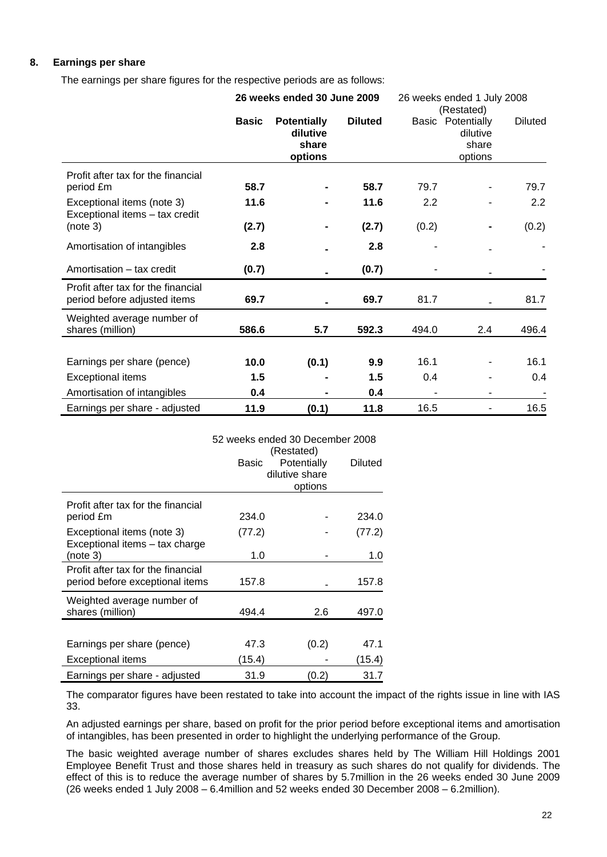# **8. Earnings per share**

The earnings per share figures for the respective periods are as follows:

|                                                                    | 26 weeks ended 30 June 2009 |                                                    |                | 26 weeks ended 1 July 2008<br>(Restated) |                                                          |                |  |
|--------------------------------------------------------------------|-----------------------------|----------------------------------------------------|----------------|------------------------------------------|----------------------------------------------------------|----------------|--|
|                                                                    | <b>Basic</b>                | <b>Potentially</b><br>dilutive<br>share<br>options | <b>Diluted</b> |                                          | <b>Basic Potentially</b><br>dilutive<br>share<br>options | <b>Diluted</b> |  |
| Profit after tax for the financial<br>period £m                    | 58.7                        |                                                    | 58.7           | 79.7                                     |                                                          | 79.7           |  |
| Exceptional items (note 3)<br>Exceptional items - tax credit       | 11.6                        |                                                    | 11.6           | 2.2                                      |                                                          | 2.2            |  |
| (note 3)                                                           | (2.7)                       |                                                    | (2.7)          | (0.2)                                    |                                                          | (0.2)          |  |
| Amortisation of intangibles                                        | 2.8                         |                                                    | 2.8            |                                          |                                                          |                |  |
| Amortisation - tax credit                                          | (0.7)                       |                                                    | (0.7)          |                                          |                                                          |                |  |
| Profit after tax for the financial<br>period before adjusted items | 69.7                        |                                                    | 69.7           | 81.7                                     |                                                          | 81.7           |  |
| Weighted average number of<br>shares (million)                     | 586.6                       | 5.7                                                | 592.3          | 494.0                                    | 2.4                                                      | 496.4          |  |
|                                                                    |                             |                                                    |                |                                          |                                                          |                |  |
| Earnings per share (pence)                                         | 10.0                        | (0.1)                                              | 9.9            | 16.1                                     |                                                          | 16.1           |  |
| <b>Exceptional items</b>                                           | 1.5                         |                                                    | 1.5            | 0.4                                      |                                                          | 0.4            |  |
| Amortisation of intangibles                                        | 0.4                         |                                                    | 0.4            |                                          |                                                          |                |  |
| Earnings per share - adjusted                                      | 11.9                        | (0.1)                                              | 11.8           | 16.5                                     |                                                          | 16.5           |  |

|                                    | 52 weeks ended 30 December 2008 |                |                |
|------------------------------------|---------------------------------|----------------|----------------|
|                                    |                                 |                |                |
|                                    | Basic                           | Potentially    | <b>Diluted</b> |
|                                    |                                 | dilutive share |                |
|                                    |                                 | options        |                |
| Profit after tax for the financial |                                 |                |                |
| period £m                          | 234.0                           |                | 234.0          |
| Exceptional items (note 3)         | (77.2)                          |                | (77.2)         |
| Exceptional items - tax charge     |                                 |                |                |
| (note 3)                           | 1.0                             |                | 1.0            |
| Profit after tax for the financial |                                 |                |                |
| period before exceptional items    | 157.8                           |                | 157.8          |
| Weighted average number of         |                                 |                |                |
| shares (million)                   | 494.4                           | 2.6            | 497.0          |
|                                    |                                 |                |                |
| Earnings per share (pence)         | 47.3                            | (0.2)          | 47.1           |
| Exceptional items                  | (15.4)                          |                | (15.4)         |
| Earnings per share - adjusted      | 31.9                            | (0.2)          | 31.7           |

The comparator figures have been restated to take into account the impact of the rights issue in line with IAS 33.

An adjusted earnings per share, based on profit for the prior period before exceptional items and amortisation of intangibles, has been presented in order to highlight the underlying performance of the Group.

The basic weighted average number of shares excludes shares held by The William Hill Holdings 2001 Employee Benefit Trust and those shares held in treasury as such shares do not qualify for dividends. The effect of this is to reduce the average number of shares by 5.7million in the 26 weeks ended 30 June 2009 (26 weeks ended 1 July 2008 – 6.4million and 52 weeks ended 30 December 2008 – 6.2million).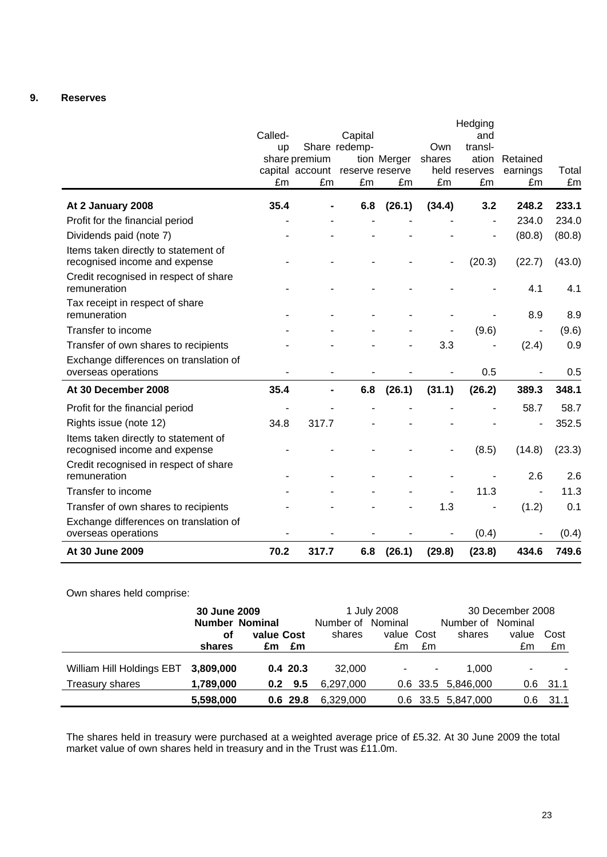# **9. Reserves**

|                                                                       |           |                       |                 |             |        | Hedging             |          |        |
|-----------------------------------------------------------------------|-----------|-----------------------|-----------------|-------------|--------|---------------------|----------|--------|
|                                                                       | Called-   |                       | Capital         |             |        | and                 |          |        |
|                                                                       | <b>up</b> |                       | Share redemp-   |             | Own    | transl-             |          |        |
|                                                                       |           | share premium         |                 | tion Merger | shares | ation               | Retained |        |
|                                                                       | £m        | capital account<br>£m | reserve reserve |             | £m     | held reserves<br>£m | earnings | Total  |
|                                                                       |           |                       | £m              | £m          |        |                     | £m       | £m     |
| At 2 January 2008                                                     | 35.4      |                       | 6.8             | (26.1)      | (34.4) | 3.2                 | 248.2    | 233.1  |
| Profit for the financial period                                       |           |                       |                 |             |        | $\blacksquare$      | 234.0    | 234.0  |
| Dividends paid (note 7)                                               |           |                       |                 |             |        |                     | (80.8)   | (80.8) |
| Items taken directly to statement of<br>recognised income and expense |           |                       |                 |             |        | (20.3)              | (22.7)   | (43.0) |
| Credit recognised in respect of share<br>remuneration                 |           |                       |                 |             |        |                     | 4.1      | 4.1    |
| Tax receipt in respect of share<br>remuneration                       |           |                       |                 |             |        |                     | 8.9      | 8.9    |
| Transfer to income                                                    |           |                       |                 |             |        | (9.6)               |          | (9.6)  |
| Transfer of own shares to recipients                                  |           |                       |                 |             | 3.3    |                     | (2.4)    | 0.9    |
| Exchange differences on translation of<br>overseas operations         |           |                       |                 |             |        | 0.5                 |          | 0.5    |
| At 30 December 2008                                                   | 35.4      |                       | 6.8             | (26.1)      | (31.1) | (26.2)              | 389.3    | 348.1  |
| Profit for the financial period                                       |           |                       |                 |             |        |                     | 58.7     | 58.7   |
| Rights issue (note 12)                                                | 34.8      | 317.7                 |                 |             |        |                     |          | 352.5  |
| Items taken directly to statement of<br>recognised income and expense |           |                       |                 |             |        | (8.5)               | (14.8)   | (23.3) |
| Credit recognised in respect of share<br>remuneration                 |           |                       |                 |             |        |                     | 2.6      | 2.6    |
| Transfer to income                                                    |           |                       |                 |             |        | 11.3                |          | 11.3   |
| Transfer of own shares to recipients                                  |           |                       |                 |             | 1.3    | ٠                   | (1.2)    | 0.1    |
| Exchange differences on translation of<br>overseas operations         |           |                       |                 |             |        | (0.4)               |          | (0.4)  |
| At 30 June 2009                                                       | 70.2      | 317.7                 | 6.8             | (26.1)      | (29.8) | (23.8)              | 434.6    | 749.6  |

Own shares held comprise:

|                           | 30 June 2009<br><b>Number Nominal</b> |                 |                             | 1 July 2008 |    | 30 December 2008    |                          |            |
|---------------------------|---------------------------------------|-----------------|-----------------------------|-------------|----|---------------------|--------------------------|------------|
|                           | οf                                    | value Cost      | Number of Nominal<br>shares | value Cost  |    | Number of<br>shares | Nominal<br>value         | Cost       |
|                           | shares                                | £m<br>£m        |                             | £m          | £m |                     | £m                       | £m         |
| William Hill Holdings EBT | 3,809,000                             | 0.420.3         | 32,000                      | ۰           | ۰  | 1.000               | $\overline{\phantom{a}}$ |            |
| Treasury shares           | 1,789,000                             | $0.2 \quad 9.5$ | 6.297.000                   |             |    | 0.6 33.5 5,846,000  |                          | $0.6$ 31.1 |
|                           | 5,598,000                             | $0.6$ 29.8      | 6,329,000                   |             |    | 0.6 33.5 5,847,000  | 0.6 <sup>°</sup>         | - 31.1     |

The shares held in treasury were purchased at a weighted average price of £5.32. At 30 June 2009 the total market value of own shares held in treasury and in the Trust was £11.0m.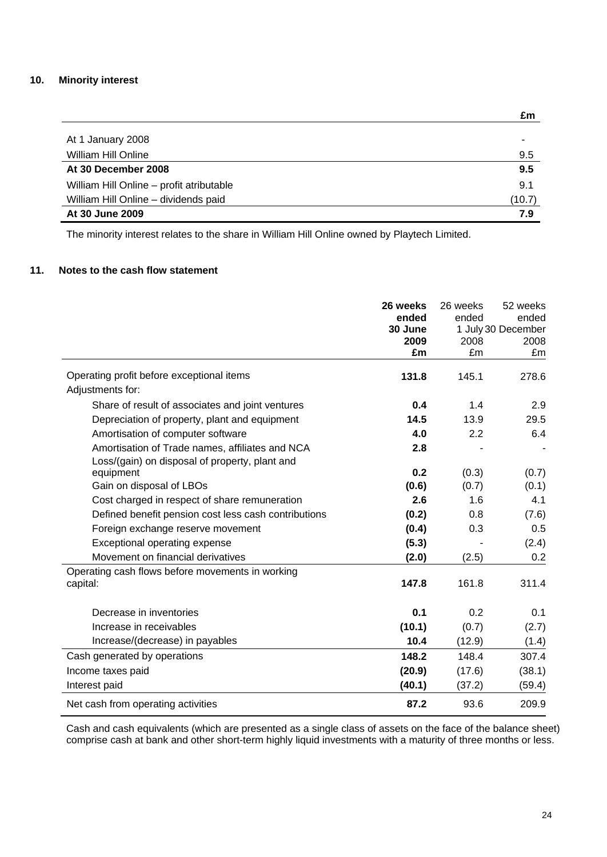# **10. Minority interest**

|                                          | £m     |
|------------------------------------------|--------|
|                                          |        |
| At 1 January 2008                        | ۰      |
| William Hill Online                      | 9.5    |
| At 30 December 2008                      | 9.5    |
| William Hill Online - profit atributable | 9.1    |
| William Hill Online - dividends paid     | (10.7) |
| At 30 June 2009                          | 7.9    |

The minority interest relates to the share in William Hill Online owned by Playtech Limited.

# **11. Notes to the cash flow statement**

|                                                                                                   | 26 weeks<br>ended | 26 weeks<br>ended | 52 weeks<br>ended          |
|---------------------------------------------------------------------------------------------------|-------------------|-------------------|----------------------------|
|                                                                                                   | 30 June<br>2009   | 2008              | 1 July 30 December<br>2008 |
|                                                                                                   | £m                | £m                | £m                         |
| Operating profit before exceptional items<br>Adjustments for:                                     | 131.8             | 145.1             | 278.6                      |
| Share of result of associates and joint ventures                                                  | 0.4               | 1.4               | 2.9                        |
| Depreciation of property, plant and equipment                                                     | 14.5              | 13.9              | 29.5                       |
| Amortisation of computer software                                                                 | 4.0               | 2.2               | 6.4                        |
| Amortisation of Trade names, affiliates and NCA<br>Loss/(gain) on disposal of property, plant and | 2.8               |                   |                            |
| equipment                                                                                         | 0.2               | (0.3)             | (0.7)                      |
| Gain on disposal of LBOs                                                                          | (0.6)             | (0.7)             | (0.1)                      |
| Cost charged in respect of share remuneration                                                     | 2.6               | 1.6               | 4.1                        |
| Defined benefit pension cost less cash contributions                                              | (0.2)             | 0.8               | (7.6)                      |
| Foreign exchange reserve movement                                                                 | (0.4)             | 0.3               | 0.5                        |
| Exceptional operating expense                                                                     | (5.3)             |                   | (2.4)                      |
| Movement on financial derivatives                                                                 | (2.0)             | (2.5)             | 0.2                        |
| Operating cash flows before movements in working<br>capital:                                      | 147.8             | 161.8             | 311.4                      |
| Decrease in inventories                                                                           | 0.1               | 0.2               | 0.1                        |
| Increase in receivables                                                                           | (10.1)            | (0.7)             | (2.7)                      |
| Increase/(decrease) in payables                                                                   | 10.4              | (12.9)            | (1.4)                      |
| Cash generated by operations                                                                      | 148.2             | 148.4             | 307.4                      |
| Income taxes paid                                                                                 | (20.9)            | (17.6)            | (38.1)                     |
| Interest paid                                                                                     | (40.1)            | (37.2)            | (59.4)                     |
| Net cash from operating activities                                                                | 87.2              | 93.6              | 209.9                      |

Cash and cash equivalents (which are presented as a single class of assets on the face of the balance sheet) comprise cash at bank and other short-term highly liquid investments with a maturity of three months or less.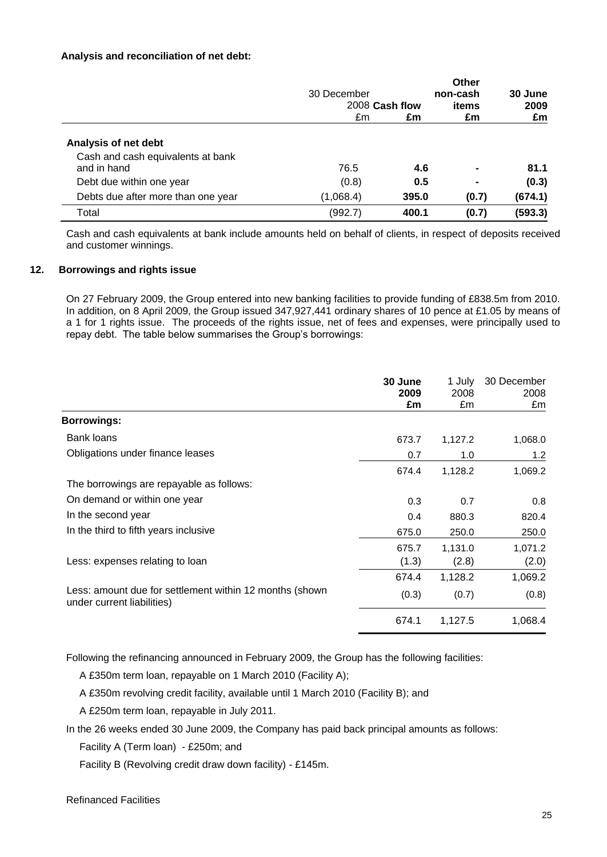# **Analysis and reconciliation of net debt:**

|                                    | 30 December<br>2008 Cash flow |       | Other<br>non-cash<br>items | 30 June<br>2009 |
|------------------------------------|-------------------------------|-------|----------------------------|-----------------|
|                                    | £m                            | £m    | £m                         | £m              |
| Analysis of net debt               |                               |       |                            |                 |
| Cash and cash equivalents at bank  |                               |       |                            |                 |
| and in hand                        | 76.5                          | 4.6   | $\blacksquare$             | 81.1            |
| Debt due within one year           | (0.8)                         | 0.5   | $\blacksquare$             | (0.3)           |
| Debts due after more than one year | (1,068.4)                     | 395.0 | (0.7)                      | (674.1)         |
| Total                              | (992.7)                       | 400.1 | (0.7)                      | (593.3)         |

Cash and cash equivalents at bank include amounts held on behalf of clients, in respect of deposits received and customer winnings.

# **12. Borrowings and rights issue**

On 27 February 2009, the Group entered into new banking facilities to provide funding of £838.5m from 2010. In addition, on 8 April 2009, the Group issued 347,927,441 ordinary shares of 10 pence at £1.05 by means of a 1 for 1 rights issue. The proceeds of the rights issue, net of fees and expenses, were principally used to repay debt. The table below summarises the Group"s borrowings:

|                                                                                       | 30 June<br>2009<br>£m | 1 July<br>2008<br>£m | 30 December<br>2008<br>£m |
|---------------------------------------------------------------------------------------|-----------------------|----------------------|---------------------------|
| <b>Borrowings:</b>                                                                    |                       |                      |                           |
| <b>Bank loans</b>                                                                     | 673.7                 | 1,127.2              | 1,068.0                   |
| Obligations under finance leases                                                      | 0.7                   | 1.0                  | 1.2                       |
|                                                                                       | 674.4                 | 1,128.2              | 1,069.2                   |
| The borrowings are repayable as follows:                                              |                       |                      |                           |
| On demand or within one year                                                          | 0.3                   | 0.7                  | 0.8                       |
| In the second year                                                                    | 0.4                   | 880.3                | 820.4                     |
| In the third to fifth years inclusive                                                 | 675.0                 | 250.0                | 250.0                     |
|                                                                                       | 675.7                 | 1,131.0              | 1,071.2                   |
| Less: expenses relating to loan                                                       | (1.3)                 | (2.8)                | (2.0)                     |
|                                                                                       | 674.4                 | 1,128.2              | 1,069.2                   |
| Less: amount due for settlement within 12 months (shown<br>under current liabilities) | (0.3)                 | (0.7)                | (0.8)                     |
|                                                                                       | 674.1                 | 1,127.5              | 1,068.4                   |

Following the refinancing announced in February 2009, the Group has the following facilities:

A £350m term loan, repayable on 1 March 2010 (Facility A);

A £350m revolving credit facility, available until 1 March 2010 (Facility B); and

A £250m term loan, repayable in July 2011.

In the 26 weeks ended 30 June 2009, the Company has paid back principal amounts as follows:

Facility A (Term loan) - £250m; and

Facility B (Revolving credit draw down facility) - £145m.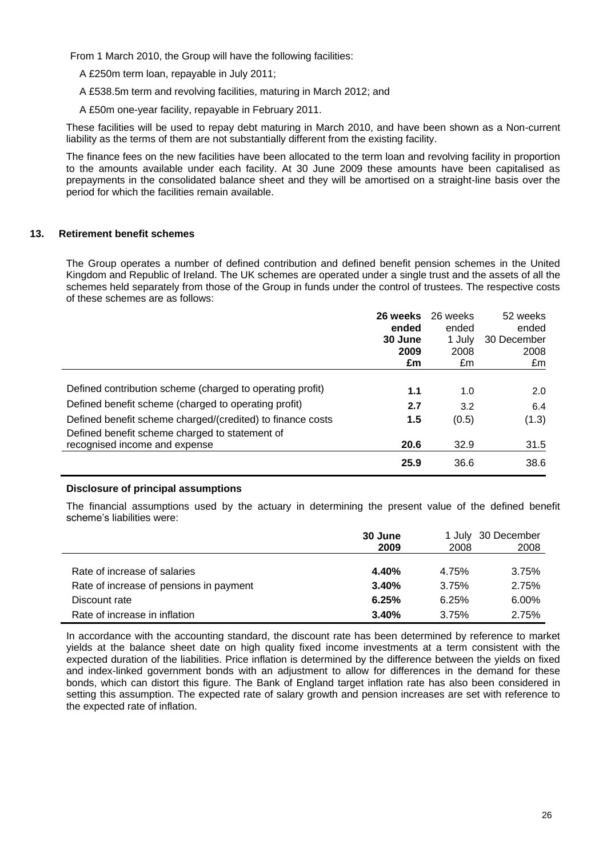From 1 March 2010, the Group will have the following facilities:

A £250m term loan, repayable in July 2011;

A £538.5m term and revolving facilities, maturing in March 2012; and

A £50m one-year facility, repayable in February 2011.

These facilities will be used to repay debt maturing in March 2010, and have been shown as a Non-current liability as the terms of them are not substantially different from the existing facility.

The finance fees on the new facilities have been allocated to the term loan and revolving facility in proportion to the amounts available under each facility. At 30 June 2009 these amounts have been capitalised as prepayments in the consolidated balance sheet and they will be amortised on a straight-line basis over the period for which the facilities remain available.

# **13. Retirement benefit schemes**

The Group operates a number of defined contribution and defined benefit pension schemes in the United Kingdom and Republic of Ireland. The UK schemes are operated under a single trust and the assets of all the schemes held separately from those of the Group in funds under the control of trustees. The respective costs of these schemes are as follows:

|                                                            | 26 weeks | 26 weeks | 52 weeks    |
|------------------------------------------------------------|----------|----------|-------------|
|                                                            | ended    | ended    | ended       |
|                                                            | 30 June  | 1 July   | 30 December |
|                                                            | 2009     | 2008     | 2008        |
|                                                            | £m       | £m       | £m          |
|                                                            |          |          |             |
| Defined contribution scheme (charged to operating profit)  | 1.1      | 1.0      | 2.0         |
| Defined benefit scheme (charged to operating profit)       | 2.7      | 3.2      | 6.4         |
| Defined benefit scheme charged/(credited) to finance costs | 1.5      | (0.5)    | (1.3)       |
| Defined benefit scheme charged to statement of             |          |          |             |
| recognised income and expense                              | 20.6     | 32.9     | 31.5        |
|                                                            | 25.9     | 36.6     | 38.6        |

# **Disclosure of principal assumptions**

The financial assumptions used by the actuary in determining the present value of the defined benefit scheme's liabilities were:

|                                         | 30 June<br>2009 | 2008  | 1 July 30 December<br>2008 |
|-----------------------------------------|-----------------|-------|----------------------------|
|                                         |                 |       |                            |
| Rate of increase of salaries            | 4.40%           | 4.75% | 3.75%                      |
| Rate of increase of pensions in payment | 3.40%           | 3.75% | 2.75%                      |
| Discount rate                           | 6.25%           | 6.25% | 6.00%                      |
| Rate of increase in inflation           | 3.40%           | 3.75% | 2.75%                      |

In accordance with the accounting standard, the discount rate has been determined by reference to market yields at the balance sheet date on high quality fixed income investments at a term consistent with the expected duration of the liabilities. Price inflation is determined by the difference between the yields on fixed and index-linked government bonds with an adjustment to allow for differences in the demand for these bonds, which can distort this figure. The Bank of England target inflation rate has also been considered in setting this assumption. The expected rate of salary growth and pension increases are set with reference to the expected rate of inflation.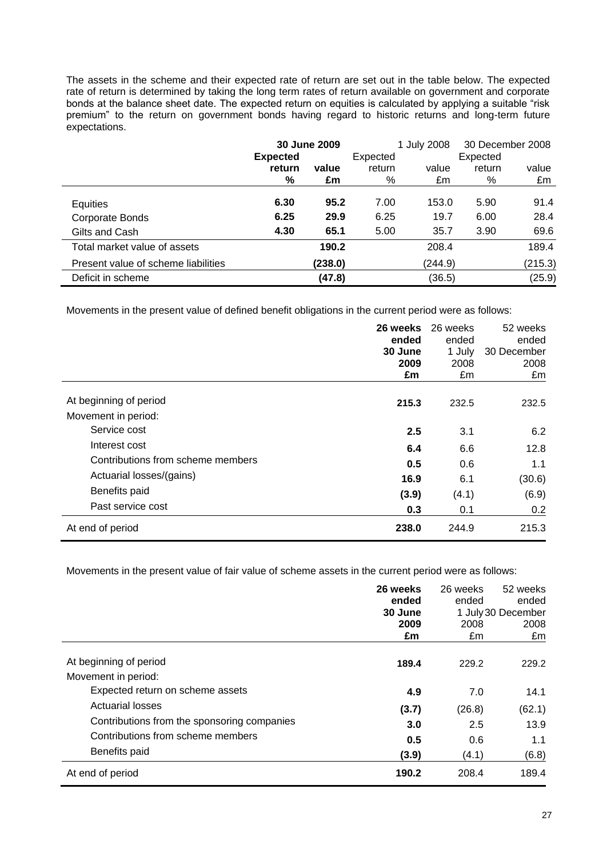The assets in the scheme and their expected rate of return are set out in the table below. The expected rate of return is determined by taking the long term rates of return available on government and corporate bonds at the balance sheet date. The expected return on equities is calculated by applying a suitable "risk premium" to the return on government bonds having regard to historic returns and long-term future expectations.

|                                     | <b>Expected</b> | 30 June 2009 | Expected | 1 July 2008 | Expected | 30 December 2008 |
|-------------------------------------|-----------------|--------------|----------|-------------|----------|------------------|
|                                     | return          | value        | return   | value       | return   | value            |
|                                     | $\%$            | £m           | %        | £m          | %        | £m               |
| Equities                            | 6.30            | 95.2         | 7.00     | 153.0       | 5.90     | 91.4             |
| Corporate Bonds                     | 6.25            | 29.9         | 6.25     | 19.7        | 6.00     | 28.4             |
| Gilts and Cash                      | 4.30            | 65.1         | 5.00     | 35.7        | 3.90     | 69.6             |
| Total market value of assets        |                 | 190.2        |          | 208.4       |          | 189.4            |
| Present value of scheme liabilities |                 | (238.0)      |          | (244.9)     |          | (215.3)          |
| Deficit in scheme                   |                 | (47.8)       |          | (36.5)      |          | (25.9)           |

Movements in the present value of defined benefit obligations in the current period were as follows:

|                                   | 26 weeks<br>ended<br>30 June<br>2009<br>£m | 26 weeks<br>ended<br>1 July<br>2008<br>£m | 52 weeks<br>ended<br>30 December<br>2008<br>£m |
|-----------------------------------|--------------------------------------------|-------------------------------------------|------------------------------------------------|
| At beginning of period            | 215.3                                      | 232.5                                     | 232.5                                          |
| Movement in period:               |                                            |                                           |                                                |
| Service cost                      | 2.5                                        | 3.1                                       | 6.2                                            |
| Interest cost                     | 6.4                                        | 6.6                                       | 12.8                                           |
| Contributions from scheme members | 0.5                                        | 0.6                                       | 1.1                                            |
| Actuarial losses/(gains)          | 16.9                                       | 6.1                                       | (30.6)                                         |
| Benefits paid                     | (3.9)                                      | (4.1)                                     | (6.9)                                          |
| Past service cost                 | 0.3                                        | 0.1                                       | 0.2                                            |
| At end of period                  | 238.0                                      | 244.9                                     | 215.3                                          |

Movements in the present value of fair value of scheme assets in the current period were as follows:

|                                             | 26 weeks | 26 weeks | 52 weeks           |
|---------------------------------------------|----------|----------|--------------------|
|                                             | ended    | ended    | ended              |
|                                             | 30 June  |          | 1 July 30 December |
|                                             | 2009     | 2008     | 2008               |
|                                             | £m       | £m       | £m                 |
| At beginning of period                      | 189.4    | 229.2    | 229.2              |
| Movement in period:                         |          |          |                    |
| Expected return on scheme assets            | 4.9      | 7.0      | 14.1               |
| <b>Actuarial losses</b>                     | (3.7)    | (26.8)   | (62.1)             |
| Contributions from the sponsoring companies | 3.0      | 2.5      | 13.9               |
| Contributions from scheme members           | 0.5      | 0.6      | 1.1                |
| Benefits paid                               | (3.9)    | (4.1)    | (6.8)              |
| At end of period                            | 190.2    | 208.4    | 189.4              |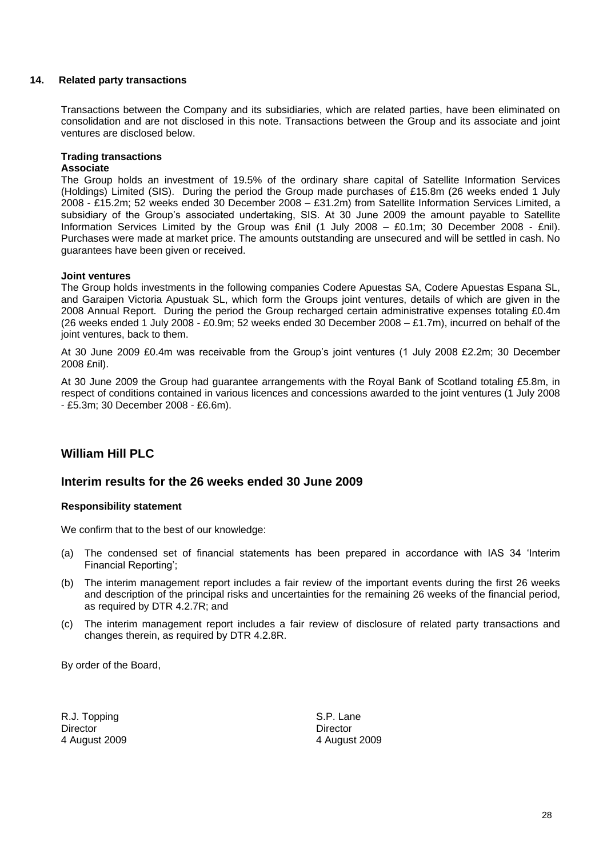# **14. Related party transactions**

Transactions between the Company and its subsidiaries, which are related parties, have been eliminated on consolidation and are not disclosed in this note. Transactions between the Group and its associate and joint ventures are disclosed below.

# **Trading transactions**

# **Associate**

The Group holds an investment of 19.5% of the ordinary share capital of Satellite Information Services (Holdings) Limited (SIS). During the period the Group made purchases of £15.8m (26 weeks ended 1 July 2008 - £15.2m; 52 weeks ended 30 December 2008 – £31.2m) from Satellite Information Services Limited, a subsidiary of the Group's associated undertaking, SIS. At 30 June 2009 the amount payable to Satellite Information Services Limited by the Group was £nil (1 July 2008 – £0.1m; 30 December 2008 - £nil). Purchases were made at market price. The amounts outstanding are unsecured and will be settled in cash. No guarantees have been given or received.

# **Joint ventures**

The Group holds investments in the following companies Codere Apuestas SA, Codere Apuestas Espana SL, and Garaipen Victoria Apustuak SL, which form the Groups joint ventures, details of which are given in the 2008 Annual Report. During the period the Group recharged certain administrative expenses totaling £0.4m (26 weeks ended 1 July 2008 - £0.9m; 52 weeks ended 30 December 2008 – £1.7m), incurred on behalf of the joint ventures, back to them.

At 30 June 2009 £0.4m was receivable from the Group's joint ventures (1 July 2008 £2.2m; 30 December 2008 £nil).

At 30 June 2009 the Group had guarantee arrangements with the Royal Bank of Scotland totaling £5.8m, in respect of conditions contained in various licences and concessions awarded to the joint ventures (1 July 2008 - £5.3m; 30 December 2008 - £6.6m).

# **William Hill PLC**

# **Interim results for the 26 weeks ended 30 June 2009**

#### **Responsibility statement**

We confirm that to the best of our knowledge:

- (a) The condensed set of financial statements has been prepared in accordance with IAS 34 "Interim Financial Reporting";
- (b) The interim management report includes a fair review of the important events during the first 26 weeks and description of the principal risks and uncertainties for the remaining 26 weeks of the financial period, as required by DTR 4.2.7R; and
- (c) The interim management report includes a fair review of disclosure of related party transactions and changes therein, as required by DTR 4.2.8R.

By order of the Board,

R.J. Topping S.P. Lane Director **Director** Director 4 August 2009 4 August 2009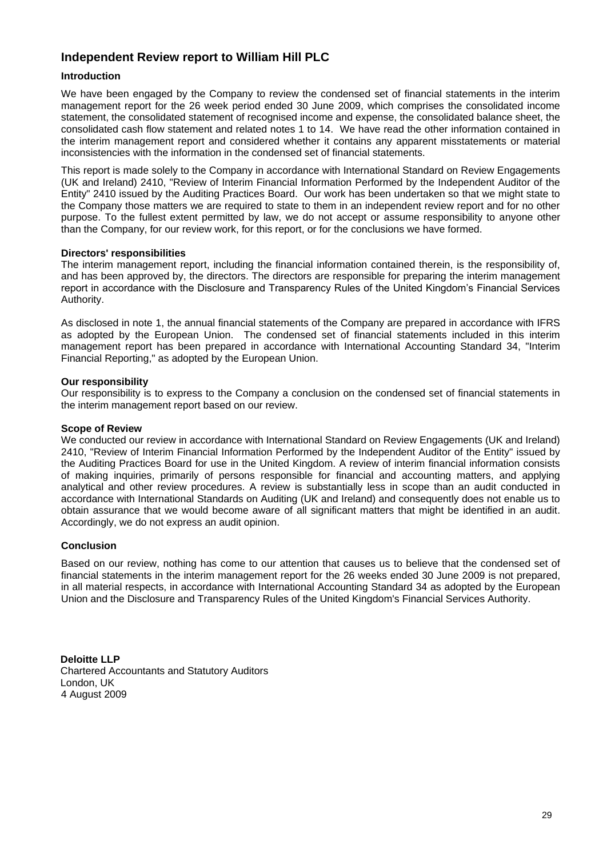# **Independent Review report to William Hill PLC**

# **Introduction**

We have been engaged by the Company to review the condensed set of financial statements in the interim management report for the 26 week period ended 30 June 2009, which comprises the consolidated income statement, the consolidated statement of recognised income and expense, the consolidated balance sheet, the consolidated cash flow statement and related notes 1 to 14. We have read the other information contained in the interim management report and considered whether it contains any apparent misstatements or material inconsistencies with the information in the condensed set of financial statements.

This report is made solely to the Company in accordance with International Standard on Review Engagements (UK and Ireland) 2410, "Review of Interim Financial Information Performed by the Independent Auditor of the Entity" 2410 issued by the Auditing Practices Board. Our work has been undertaken so that we might state to the Company those matters we are required to state to them in an independent review report and for no other purpose. To the fullest extent permitted by law, we do not accept or assume responsibility to anyone other than the Company, for our review work, for this report, or for the conclusions we have formed.

#### **Directors' responsibilities**

The interim management report, including the financial information contained therein, is the responsibility of, and has been approved by, the directors. The directors are responsible for preparing the interim management report in accordance with the Disclosure and Transparency Rules of the United Kingdom"s Financial Services Authority.

As disclosed in note 1, the annual financial statements of the Company are prepared in accordance with IFRS as adopted by the European Union. The condensed set of financial statements included in this interim management report has been prepared in accordance with International Accounting Standard 34, "Interim Financial Reporting," as adopted by the European Union.

#### **Our responsibility**

Our responsibility is to express to the Company a conclusion on the condensed set of financial statements in the interim management report based on our review.

#### **Scope of Review**

We conducted our review in accordance with International Standard on Review Engagements (UK and Ireland) 2410, "Review of Interim Financial Information Performed by the Independent Auditor of the Entity" issued by the Auditing Practices Board for use in the United Kingdom. A review of interim financial information consists of making inquiries, primarily of persons responsible for financial and accounting matters, and applying analytical and other review procedures. A review is substantially less in scope than an audit conducted in accordance with International Standards on Auditing (UK and Ireland) and consequently does not enable us to obtain assurance that we would become aware of all significant matters that might be identified in an audit. Accordingly, we do not express an audit opinion.

#### **Conclusion**

Based on our review, nothing has come to our attention that causes us to believe that the condensed set of financial statements in the interim management report for the 26 weeks ended 30 June 2009 is not prepared, in all material respects, in accordance with International Accounting Standard 34 as adopted by the European Union and the Disclosure and Transparency Rules of the United Kingdom's Financial Services Authority.

**Deloitte LLP** Chartered Accountants and Statutory Auditors London, UK 4 August 2009